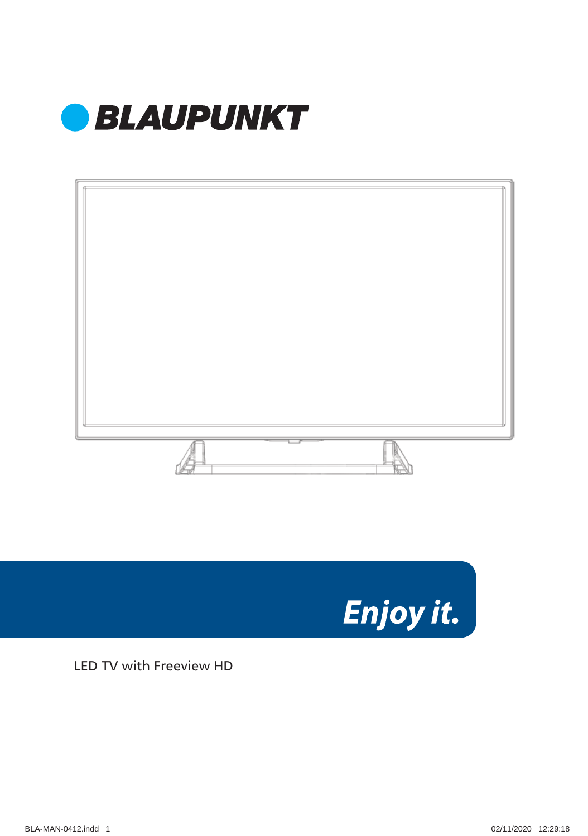





LED TV with Freeview HD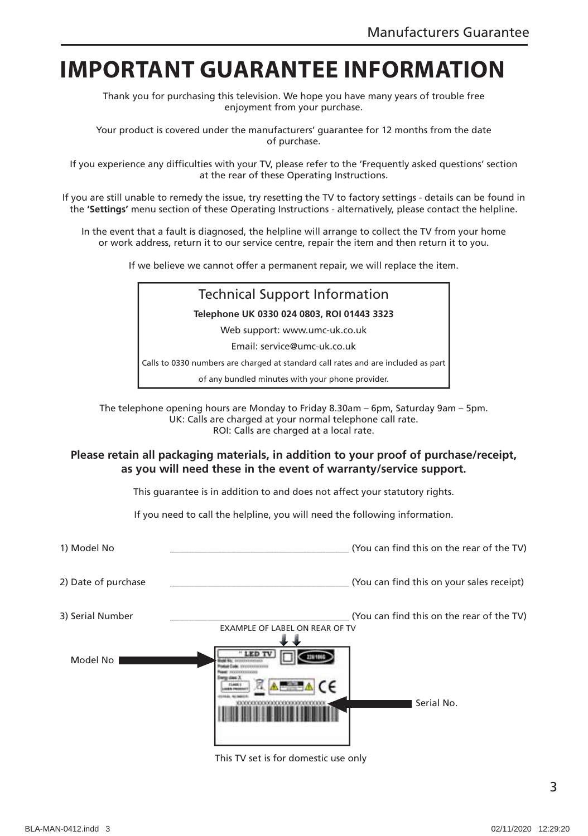## **IMPORTANT GUARANTEE INFORMATION**

Thank you for purchasing this television. We hope you have many years of trouble free enjoyment from your purchase.

Your product is covered under the manufacturers' guarantee for 12 months from the date of purchase.

If you experience any difficulties with your TV, please refer to the 'Frequently asked questions' section at the rear of these Operating Instructions.

If you are still unable to remedy the issue, try resetting the TV to factory settings - details can be found in the **'Settings'** menu section of these Operating Instructions - alternatively, please contact the helpline.

In the event that a fault is diagnosed, the helpline will arrange to collect the TV from your home or work address, return it to our service centre, repair the item and then return it to you.

If we believe we cannot offer a permanent repair, we will replace the item.

## Technical Support Information **Telephone UK 0330 024 0803, ROI 01443 3323** Web support: www.umc-uk.co.uk Email: service@umc-uk.co.uk

Calls to 0330 numbers are charged at standard call rates and are included as part

of any bundled minutes with your phone provider.

The telephone opening hours are Monday to Friday 8.30am – 6pm, Saturday 9am – 5pm. UK: Calls are charged at your normal telephone call rate. ROI: Calls are charged at a local rate.

#### **Please retain all packaging materials, in addition to your proof of purchase/receipt, as you will need these in the event of warranty/service support.**

This guarantee is in addition to and does not affect your statutory rights.

If you need to call the helpline, you will need the following information.

| 1) Model No         | (You can find this on the rear of the TV)                                          |
|---------------------|------------------------------------------------------------------------------------|
| 2) Date of purchase | (You can find this on your sales receipt)                                          |
| 3) Serial Number    | (You can find this on the rear of the TV)<br><b>EXAMPLE OF LABEL ON REAR OF TV</b> |
| Model No            | " LED TV<br>Serial No.                                                             |

This TV set is for domestic use only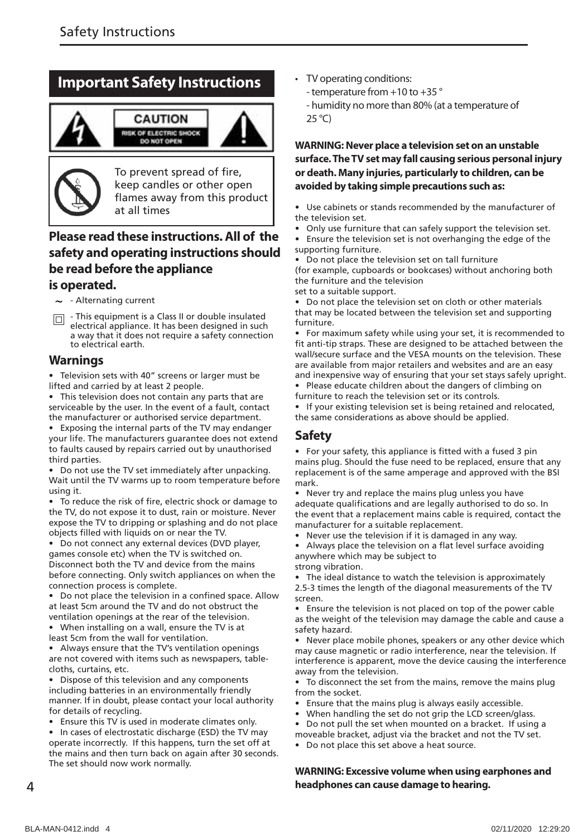## **Important Safety Instructions** • TV operating conditions:





To prevent spread of fire, keep candles or other open flames away from this product at all times

### **Please read these instructions. All of the safety and operating instructions should be read before the appliance is operated.**

 $\sim$  - Alternating current

- This equipment is a Class II or double insulated lol electrical appliance. It has been designed in such a way that it does not require a safety connection to electrical earth.

#### **Warnings**

• Television sets with 40" screens or larger must be lifted and carried by at least 2 people.

• This television does not contain any parts that are serviceable by the user. In the event of a fault, contact the manufacturer or authorised service department.

• Exposing the internal parts of the TV may endanger your life. The manufacturers guarantee does not extend to faults caused by repairs carried out by unauthorised third parties.

• Do not use the TV set immediately after unpacking. Wait until the TV warms up to room temperature before using it.

To reduce the risk of fire, electric shock or damage to the TV, do not expose it to dust, rain or moisture. Never expose the TV to dripping or splashing and do not place objects filled with liquids on or near the TV.

• Do not connect any external devices (DVD player, games console etc) when the TV is switched on. Disconnect both the TV and device from the mains before connecting. Only switch appliances on when the connection process is complete.

Do not place the television in a confined space. Allow at least 5cm around the TV and do not obstruct the ventilation openings at the rear of the television. • When installing on a wall, ensure the TV is at

least 5cm from the wall for ventilation.

• Always ensure that the TV's ventilation openings are not covered with items such as newspapers, tablecloths, curtains, etc.

Dispose of this television and any components including batteries in an environmentally friendly manner. If in doubt, please contact your local authority for details of recycling.

• Ensure this TV is used in moderate climates only.

• In cases of electrostatic discharge (ESD) the TV may operate incorrectly. If this happens, turn the set off at the mains and then turn back on again after 30 seconds. The set should now work normally.

- temperature from +10 to +35 °

 - humidity no more than 80% (at a temperature of  $25^{\circ}$ C)

#### **WARNING: Never place a television set on an unstable surface. The TV set may fall causing serious personal injury or death. Many injuries, particularly to children, can be avoided by taking simple precautions such as:**

• Use cabinets or stands recommended by the manufacturer of the television set.

• Only use furniture that can safely support the television set.

• Ensure the television set is not overhanging the edge of the supporting furniture.

• Do not place the television set on tall furniture (for example, cupboards or bookcases) without anchoring both the furniture and the television set to a suitable support.

• Do not place the television set on cloth or other materials that may be located between the television set and supporting furniture.

• For maximum safety while using your set, it is recommended to fit anti-tip straps. These are designed to be attached between the wall/secure surface and the VESA mounts on the television. These are available from major retailers and websites and are an easy and inexpensive way of ensuring that your set stays safely upright. • Please educate children about the dangers of climbing on furniture to reach the television set or its controls.

• If your existing television set is being retained and relocated, the same considerations as above should be applied.

### **Safety**

• For your safety, this appliance is fitted with a fused 3 pin mains plug. Should the fuse need to be replaced, ensure that any replacement is of the same amperage and approved with the BSI mark.

• Never try and replace the mains plug unless you have adequate qualifications and are legally authorised to do so. In the event that a replacement mains cable is required, contact the manufacturer for a suitable replacement.

• Never use the television if it is damaged in any way.

Always place the television on a flat level surface avoiding anywhere which may be subject to

strong vibration.

• The ideal distance to watch the television is approximately 2.5-3 times the length of the diagonal measurements of the TV screen.

• Ensure the television is not placed on top of the power cable as the weight of the television may damage the cable and cause a safety hazard.

• Never place mobile phones, speakers or any other device which may cause magnetic or radio interference, near the television. If interference is apparent, move the device causing the interference away from the television.

• To disconnect the set from the mains, remove the mains plug from the socket.

- Ensure that the mains plug is always easily accessible.
- When handling the set do not grip the LCD screen/glass.
- Do not pull the set when mounted on a bracket. If using a
- moveable bracket, adjust via the bracket and not the TV set.
- Do not place this set above a heat source.

**WARNING: Excessive volume when using earphones and headphones can cause damage to hearing.**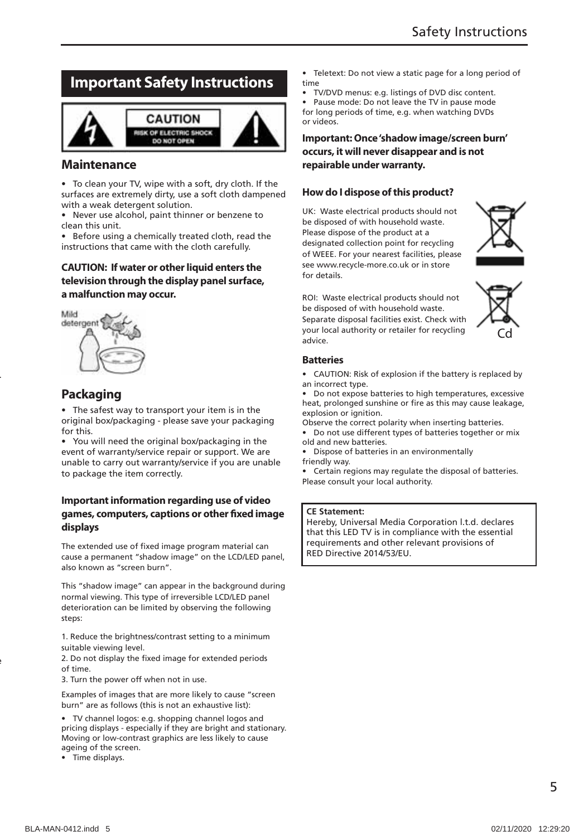## **Important Safety Instructions**



#### **Maintenance**

• To clean your TV, wipe with a soft, dry cloth. If the surfaces are extremely dirty, use a soft cloth dampened with a weak detergent solution.

• Never use alcohol, paint thinner or benzene to clean this unit.

• Before using a chemically treated cloth, read the instructions that came with the cloth carefully.

#### **CAUTION: If water or other liquid enters the television through the display panel surface, a malfunction may occur.**



### **Packaging**

.

e

• The safest way to transport your item is in the original box/packaging - please save your packaging for this.

• You will need the original box/packaging in the event of warranty/service repair or support. We are unable to carry out warranty/service if you are unable to package the item correctly.

#### **Important information regarding use of video**  games, computers, captions or other fixed image **displays**

The extended use of fixed image program material can cause a permanent "shadow image" on the LCD/LED panel, also known as "screen burn".

This "shadow image" can appear in the background during normal viewing. This type of irreversible LCD/LED panel deterioration can be limited by observing the following steps:

1. Reduce the brightness/contrast setting to a minimum suitable viewing level.

2. Do not display the fixed image for extended periods of time.

3. Turn the power off when not in use.

Examples of images that are more likely to cause "screen burn" are as follows (this is not an exhaustive list):

• TV channel logos: e.g. shopping channel logos and pricing displays - especially if they are bright and stationary. Moving or low-contrast graphics are less likely to cause ageing of the screen.

• Time displays.

- Teletext: Do not view a static page for a long period of time
- TV/DVD menus: e.g. listings of DVD disc content.

• Pause mode: Do not leave the TV in pause mode for long periods of time, e.g. when watching DVDs or videos.

#### **Important: Once 'shadow image/screen burn' occurs, it will never disappear and is not repairable under warranty.**

#### **How do I dispose of this product?**

UK: Waste electrical products should not be disposed of with household waste. Please dispose of the product at a designated collection point for recycling of WEEE. For your nearest facilities, please see www.recycle-more.co.uk or in store for details.



Cd

ROI: Waste electrical products should not be disposed of with household waste. Separate disposal facilities exist. Check with your local authority or retailer for recycling advice.

#### **Batteries**

• CAUTION: Risk of explosion if the battery is replaced by an incorrect type.

• Do not expose batteries to high temperatures, excessive heat, prolonged sunshine or fire as this may cause leakage, explosion or ignition.

Observe the correct polarity when inserting batteries. • Do not use different types of batteries together or mix

old and new batteries. • Dispose of batteries in an environmentally

friendly way.

• Certain regions may regulate the disposal of batteries. Please consult your local authority.

#### **CE Statement:**

Hereby, Universal Media Corporation l.t.d. declares that this LED TV is in compliance with the essential requirements and other relevant provisions of RED Directive 2014/53/EU.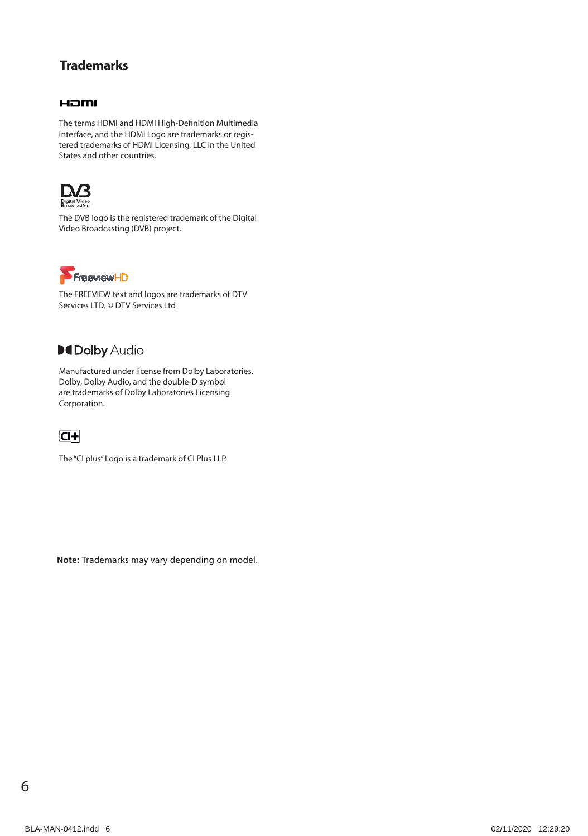## **Trademarks**

#### Hamı

The terms HDMI and HDMI High-Definition Multimedia Interface, and the HDMI Logo are trademarks or registered trademarks of HDMI Licensing, LLC in the United States and other countries.



The DVB logo is the registered trademark of the Digital Video Broadcasting (DVB) project.

FreeviewHD

The FREEVIEW text and logos are trademarks of DTV Services LTD. © DTV Services Ltd

## **D**IDolby Audio

Manufactured under license from Dolby Laboratories. Dolby, Dolby Audio, and the double-D symbol are trademarks of Dolby Laboratories Licensing Corporation.

### $\overline{CI+}$

The "CI plus" Logo is a trademark of CI Plus LLP.

**Note:** Trademarks may vary depending on model.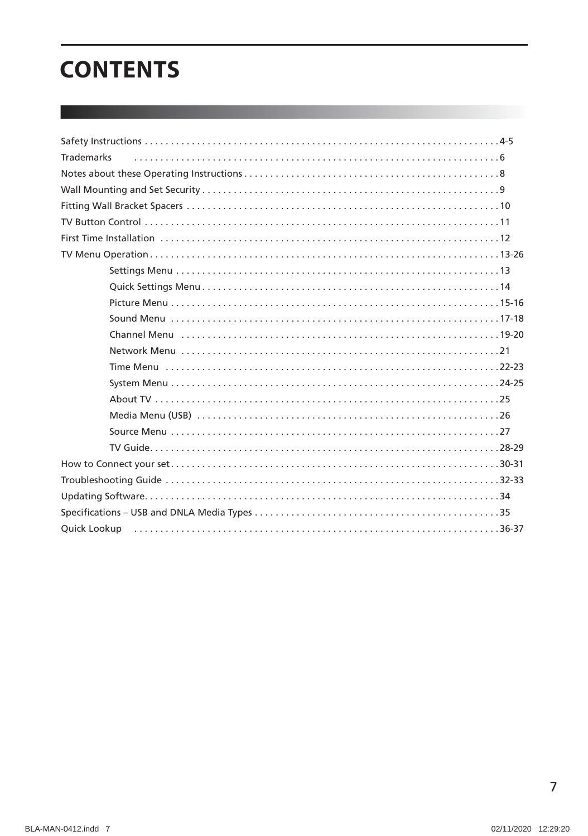# **CONTENTS**

| <b>Trademarks</b> |
|-------------------|
|                   |
|                   |
|                   |
|                   |
|                   |
|                   |
|                   |
|                   |
|                   |
|                   |
|                   |
|                   |
|                   |
|                   |
|                   |
|                   |
|                   |
|                   |
|                   |
|                   |
|                   |
|                   |
|                   |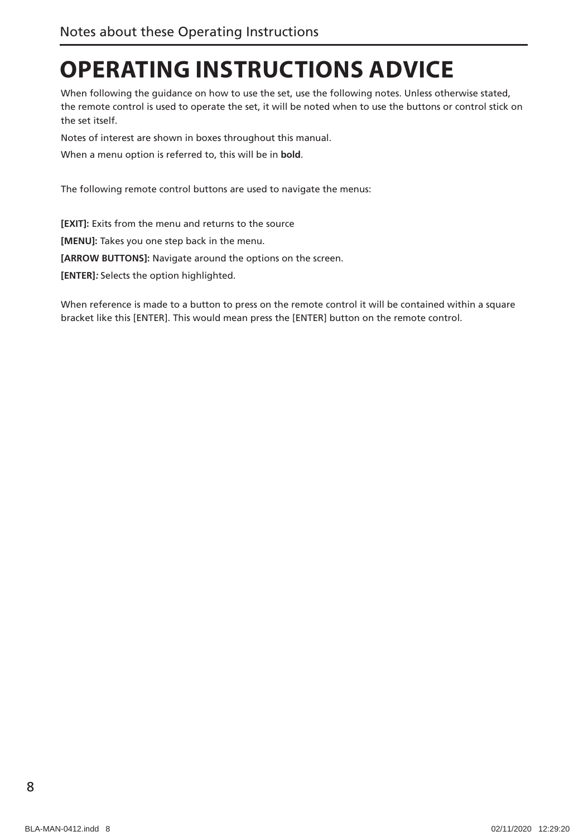# **OPERATING INSTRUCTIONS ADVICE**

When following the guidance on how to use the set, use the following notes. Unless otherwise stated, the remote control is used to operate the set, it will be noted when to use the buttons or control stick on the set itself.

Notes of interest are shown in boxes throughout this manual.

When a menu option is referred to, this will be in **bold**.

The following remote control buttons are used to navigate the menus:

**[EXIT]:** Exits from the menu and returns to the source **[MENU]:** Takes you one step back in the menu. **[ARROW BUTTONS]:** Navigate around the options on the screen. **[ENTER]:** Selects the option highlighted.

When reference is made to a button to press on the remote control it will be contained within a square bracket like this [ENTER]. This would mean press the [ENTER] button on the remote control.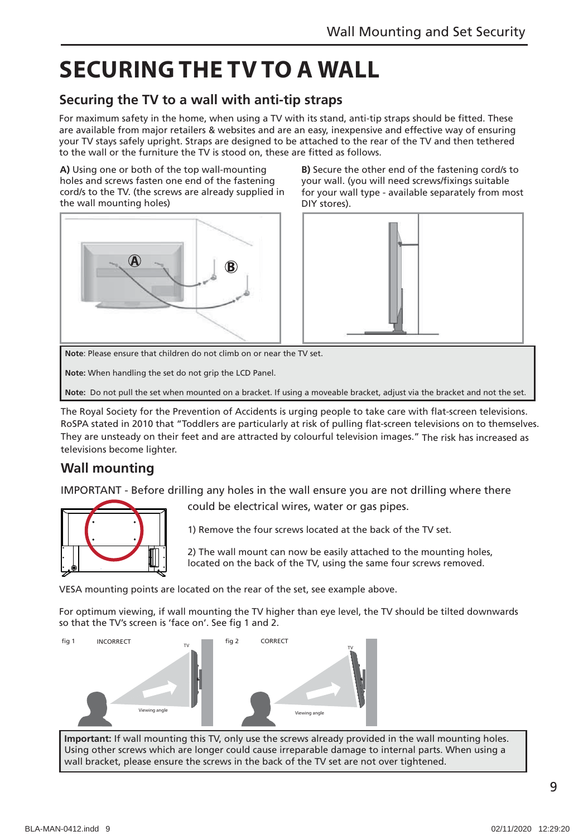# **SECURING THE TV TO A WALL**

### **Securing the TV to a wall with anti-tip straps**

For maximum safety in the home, when using a TV with its stand, anti-tip straps should be fitted. These are available from major retailers & websites and are an easy, inexpensive and effective way of ensuring your TV stays safely upright. Straps are designed to be attached to the rear of the TV and then tethered to the wall or the furniture the TV is stood on, these are fitted as follows.

**A)** Using one or both of the top wall-mounting holes and screws fasten one end of the fastening cord/s to the TV. (the screws are already supplied in the wall mounting holes)



**B)** Secure the other end of the fastening cord/s to your wall. (you will need screws/fixings suitable for your wall type - available separately from most DIY stores).



**Note**: Please ensure that children do not climb on or near the TV set.

**Note:** When handling the set do not grip the LCD Panel.

**Note:** Do not pull the set when mounted on a bracket. If using a moveable bracket, adjust via the bracket and not the set.

The Royal Society for the Prevention of Accidents is urging people to take care with flat-screen televisions. RoSPA stated in 2010 that "Toddlers are particularly at risk of pulling flat-screen televisions on to themselves. They are unsteady on their feet and are attracted by colourful television images." The risk has increased as televisions become lighter.

## **Wall mounting**

IMPORTANT - Before drilling any holes in the wall ensure you are not drilling where there



could be electrical wires, water or gas pipes.

1) Remove the four screws located at the back of the TV set.

2) The wall mount can now be easily attached to the mounting holes, located on the back of the TV, using the same four screws removed.

VESA mounting points are located on the rear of the set, see example above.

For optimum viewing, if wall mounting the TV higher than eye level, the TV should be tilted downwards so that the TV's screen is 'face on'. See fig 1 and 2.



**Important:** If wall mounting this TV, only use the screws already provided in the wall mounting holes. Using other screws which are longer could cause irreparable damage to internal parts. When using a wall bracket, please ensure the screws in the back of the TV set are not over tightened.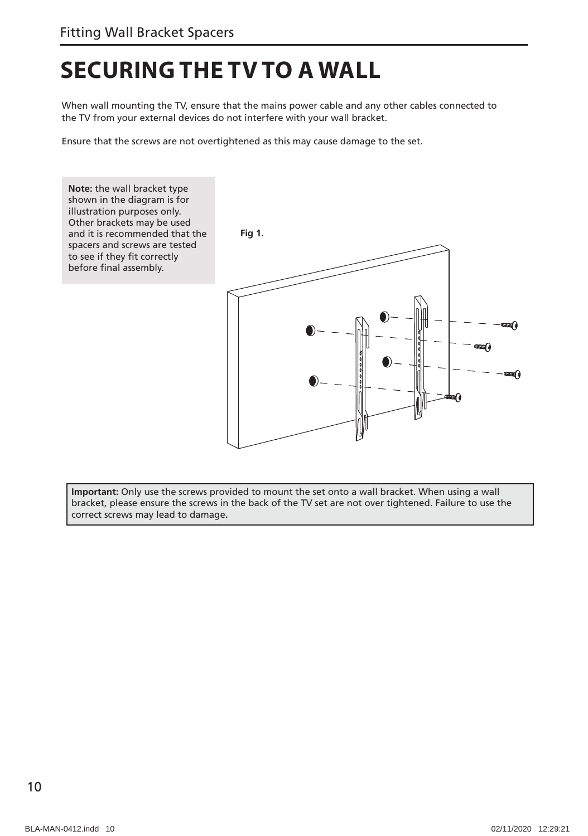# **SECURING THE TV TO A WALL**

When wall mounting the TV, ensure that the mains power cable and any other cables connected to the TV from your external devices do not interfere with your wall bracket.

Ensure that the screws are not overtightened as this may cause damage to the set.



**Important:** Only use the screws provided to mount the set onto a wall bracket. When using a wall bracket, please ensure the screws in the back of the TV set are not over tightened. Failure to use the correct screws may lead to damage**.**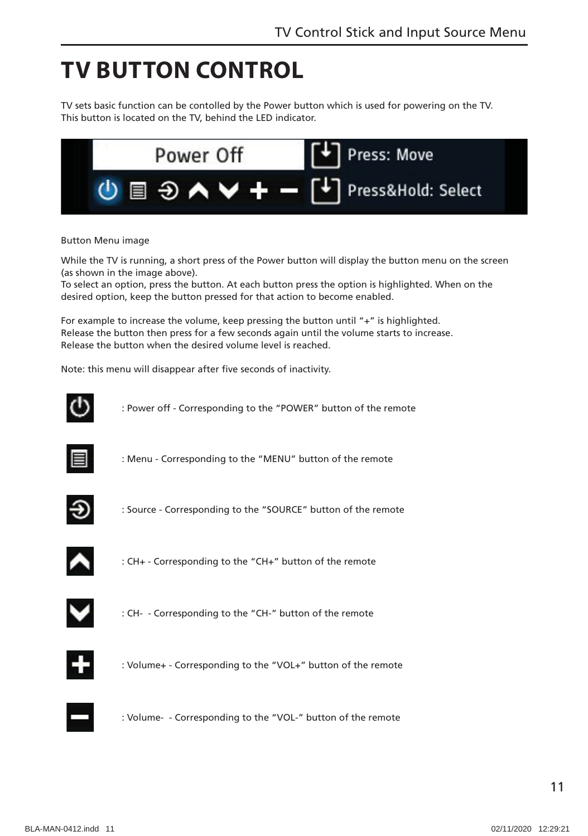# **TV BUTTON CONTROL**

TV sets basic function can be contolled by the Power button which is used for powering on the TV. This button is located on the TV, behind the LED indicator.



Button Menu image

While the TV is running, a short press of the Power button will display the button menu on the screen (as shown in the image above).

To select an option, press the button. At each button press the option is highlighted. When on the desired option, keep the button pressed for that action to become enabled.

For example to increase the volume, keep pressing the button until "+" is highlighted. Release the button then press for a few seconds again until the volume starts to increase. Release the button when the desired volume level is reached.

Note: this menu will disappear after five seconds of inactivity.



: Power off - Corresponding to the "POWER" button of the remote



: Menu - Corresponding to the "MENU" button of the remote



: Source - Corresponding to the "SOURCE" button of the remote



: CH+ - Corresponding to the "CH+" button of the remote



: CH- - Corresponding to the "CH-" button of the remote



: Volume+ - Corresponding to the "VOL+" button of the remote



: Volume- - Corresponding to the "VOL-" button of the remote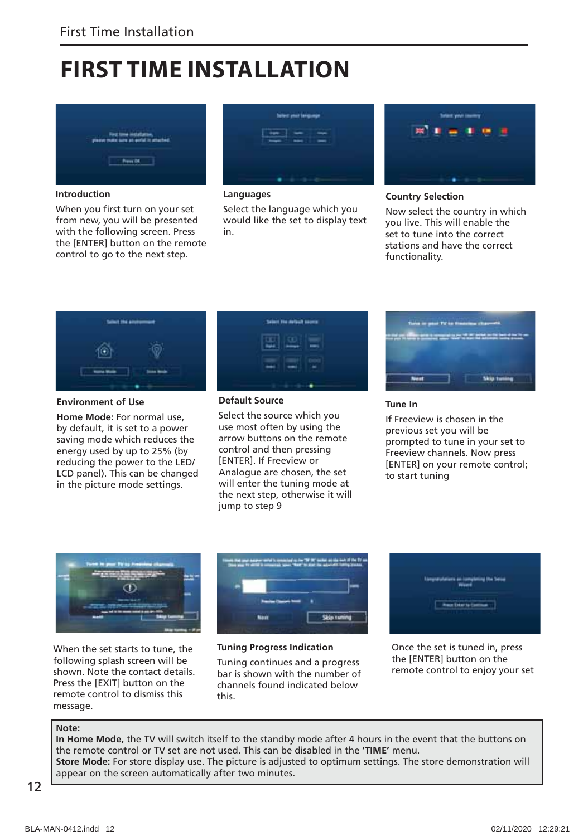# **FIRST TIME INSTALLATION**



**Introduction**

When you first turn on your set from new, you will be presented with the following screen. Press the [ENTER] button on the remote control to go to the next step.



**Languages**

Select the language which you would like the set to display text in.



**Country Selection**

Now select the country in which you live. This will enable the set to tune into the correct stations and have the correct functionality.



**Environment of Use**

**Home Mode:** For normal use, by default, it is set to a power saving mode which reduces the energy used by up to 25% (by reducing the power to the LED/ LCD panel). This can be changed in the picture mode settings.



#### **Default Source**

Select the source which you use most often by using the arrow buttons on the remote control and then pressing [ENTER]. If Freeview or Analogue are chosen, the set will enter the tuning mode at the next step, otherwise it will jump to step 9



**Tune In**

If Freeview is chosen in the previous set you will be prompted to tune in your set to Freeview channels. Now press [ENTER] on your remote control; to start tuning



When the set starts to tune, the following splash screen will be shown. Note the contact details. Press the [EXIT] button on the remote control to dismiss this message.



**Tuning Progress Indication**

Tuning continues and a progress bar is shown with the number of channels found indicated below this.



Once the set is tuned in, press the [ENTER] button on the remote control to enjoy your set

#### **Note:**

**In Home Mode,** the TV will switch itself to the standby mode after 4 hours in the event that the buttons on the remote control or TV set are not used. This can be disabled in the **'TIME'** menu. **Store Mode:** For store display use. The picture is adjusted to optimum settings. The store demonstration will appear on the screen automatically after two minutes.

12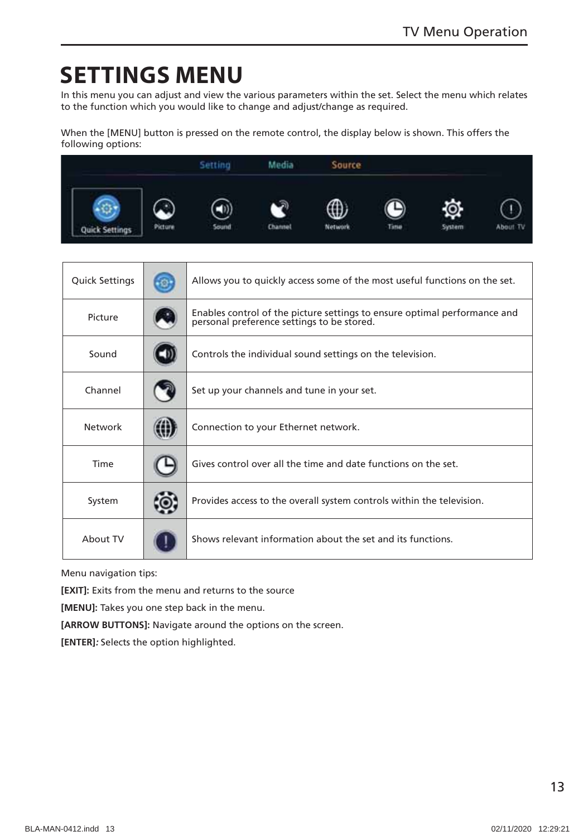# **SETTINGS MENU**

In this menu you can adjust and view the various parameters within the set. Select the menu which relates to the function which you would like to change and adjust/change as required.

When the [MENU] button is pressed on the remote control, the display below is shown. This offers the following options:



| <b>Quick Settings</b> | Allows you to quickly access some of the most useful functions on the set.                                              |
|-----------------------|-------------------------------------------------------------------------------------------------------------------------|
| Picture               | Enables control of the picture settings to ensure optimal performance and<br>personal preference settings to be stored. |
| Sound                 | Controls the individual sound settings on the television.                                                               |
| Channel               | Set up your channels and tune in your set.                                                                              |
| Network               | Connection to your Ethernet network.                                                                                    |
| Time                  | Gives control over all the time and date functions on the set.                                                          |
| System                | Provides access to the overall system controls within the television.                                                   |
| About TV              | Shows relevant information about the set and its functions.                                                             |

Menu navigation tips:

**[EXIT]:** Exits from the menu and returns to the source

**[MENU]:** Takes you one step back in the menu.

**[ARROW BUTTONS]:** Navigate around the options on the screen.

**[ENTER]:** Selects the option highlighted.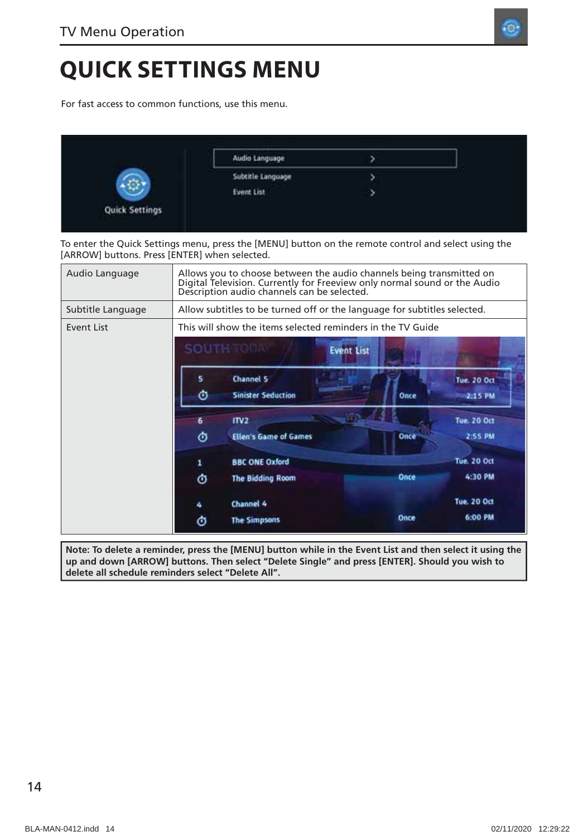

# **QUICK SETTINGS MENU**

For fast access to common functions, use this menu.

|                                   | Audio Language |  |
|-----------------------------------|----------------|--|
| Subtitle Language<br><b>Calle</b> |                |  |
| <b>Event List</b>                 | ,              |  |

To enter the Quick Settings menu, press the [MENU] button on the remote control and select using the [ARROW] buttons. Press [ENTER] when selected.

| Audio Language    |        | Allows you to choose between the audio channels being transmitted on<br>Digital Television. Currently for Freeview only normal sound or the Audio<br>Description audio channels can be selected. |      |                                |
|-------------------|--------|--------------------------------------------------------------------------------------------------------------------------------------------------------------------------------------------------|------|--------------------------------|
| Subtitle Language |        | Allow subtitles to be turned off or the language for subtitles selected.                                                                                                                         |      |                                |
| Event List        |        | This will show the items selected reminders in the TV Guide                                                                                                                                      |      |                                |
|                   |        | <b>SOUTH TODAY</b><br><b>Event List</b>                                                                                                                                                          |      |                                |
|                   | 5<br>٥ | <b>Channel 5</b><br><b>Sinister Seduction</b>                                                                                                                                                    | Once | <b>Tue. 20 Oct.</b><br>2:15 PM |
|                   | 6      | ITV <sub>2</sub>                                                                                                                                                                                 |      | <b>Tue. 20 Oct.</b>            |
|                   | O      | <b>Ellen's Game of Games</b>                                                                                                                                                                     | Once | 2:55 PM                        |
|                   | 1      | <b>BBC ONE Oxford</b>                                                                                                                                                                            |      | <b>Tue. 20 Oct</b>             |
|                   | Ò      | The Bidding Room                                                                                                                                                                                 | Once | 4:30 PM                        |
|                   | 4      | Channel 4                                                                                                                                                                                        |      | <b>Tue. 20 Oct</b>             |
|                   | Ò      | <b>The Simpsons</b>                                                                                                                                                                              | Once | <b>6:00 PM</b>                 |

**Note: To delete a reminder, press the [MENU] button while in the Event List and then select it using the up and down [ARROW] buttons. Then select "Delete Single" and press [ENTER]. Should you wish to delete all schedule reminders select "Delete All".**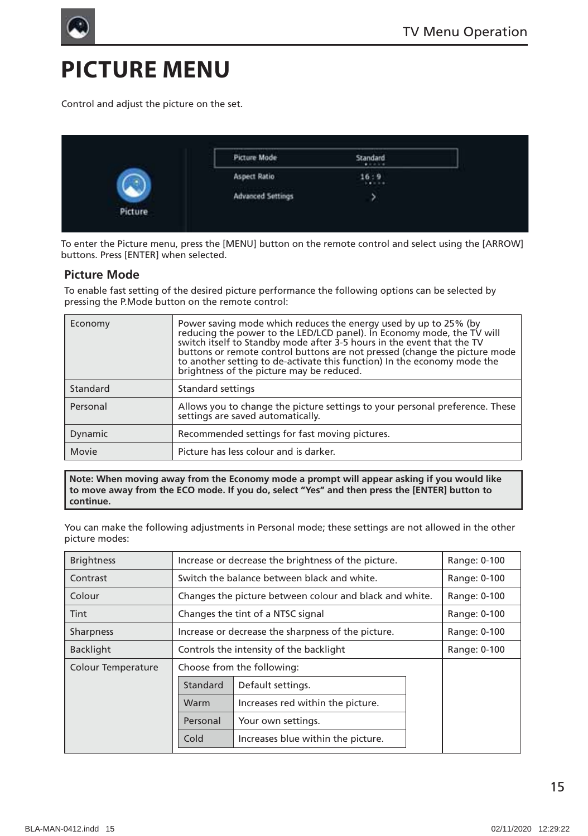

# **PICTURE MENU**

Control and adjust the picture on the set.

|           | <b>Picture Mode</b>      | Standard<br> |  |
|-----------|--------------------------|--------------|--|
| <b>AS</b> | Aspect Ratio             | 16:9         |  |
|           | <b>Advanced Settings</b> |              |  |

To enter the Picture menu, press the [MENU] button on the remote control and select using the [ARROW] buttons. Press [ENTER] when selected.

#### **Picture Mode**

To enable fast setting of the desired picture performance the following options can be selected by pressing the P.Mode button on the remote control:

| Economy  | Power saving mode which reduces the energy used by up to 25% (by<br>reducing the power to the LED/LCD panel). In Economy mode, the TV will<br>switch itself to Standby mode after 3-5 hours in the event that the TV<br>buttons or remote control buttons are not pressed (change the picture mode<br>to another setting to de-activate this function) In the economy mode the<br>brightness of the picture may be reduced. |
|----------|-----------------------------------------------------------------------------------------------------------------------------------------------------------------------------------------------------------------------------------------------------------------------------------------------------------------------------------------------------------------------------------------------------------------------------|
| Standard | Standard settings                                                                                                                                                                                                                                                                                                                                                                                                           |
| Personal | Allows you to change the picture settings to your personal preference. These<br>settings are saved automatically.                                                                                                                                                                                                                                                                                                           |
| Dynamic  | Recommended settings for fast moving pictures.                                                                                                                                                                                                                                                                                                                                                                              |
| Movie    | Picture has less colour and is darker.                                                                                                                                                                                                                                                                                                                                                                                      |

**Note: When moving away from the Economy mode a prompt will appear asking if you would like to move away from the ECO mode. If you do, select "Yes" and then press the [ENTER] button to continue.**

You can make the following adjustments in Personal mode; these settings are not allowed in the other picture modes:

| <b>Brightness</b>         | Increase or decrease the brightness of the picture. | Range: 0-100                                            |  |  |
|---------------------------|-----------------------------------------------------|---------------------------------------------------------|--|--|
| Contrast                  | Switch the balance between black and white.         | Range: 0-100                                            |  |  |
| Colour                    |                                                     | Changes the picture between colour and black and white. |  |  |
| Tint                      |                                                     | Changes the tint of a NTSC signal                       |  |  |
| <b>Sharpness</b>          |                                                     | Increase or decrease the sharpness of the picture.      |  |  |
| <b>Backlight</b>          | Controls the intensity of the backlight             | Range: 0-100                                            |  |  |
| <b>Colour Temperature</b> | Choose from the following:                          |                                                         |  |  |
|                           | Standard                                            | Default settings.                                       |  |  |
|                           | Warm                                                | Increases red within the picture.                       |  |  |
|                           | Personal                                            | Your own settings.                                      |  |  |
|                           | Cold                                                | Increases blue within the picture.                      |  |  |
|                           |                                                     |                                                         |  |  |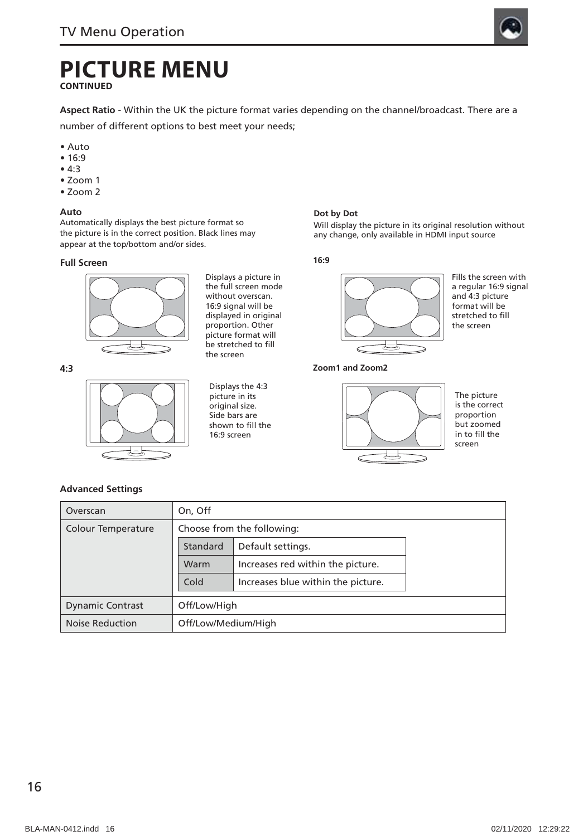

## **PICTURE MENU CONTINUED**

**Aspect Ratio** - Within the UK the picture format varies depending on the channel/broadcast. There are a number of different options to best meet your needs;

- Auto
- 16:9
- $\bullet$  4.3
- Zoom 1
- Zoom 2

#### **Auto**

Automatically displays the best picture format so the picture is in the correct position. Black lines may appear at the top/bottom and/or sides.

#### **Full Screen**



Displays a picture in the full screen mode without overscan. 16:9 signal will be displayed in original proportion. Other picture format will be stretched to fill the screen

**4:3**



Displays the 4:3 picture in its original size. Side bars are shown to fill the 16:9 screen

#### **Dot by Dot**

Will display the picture in its original resolution without any change, only available in HDMI input source

**16:9**



Fills the screen with a regular 16:9 signal and 4:3 picture format will be stretched to fill the screen

#### **Zoom1 and Zoom2**



The picture is the correct proportion but zoomed in to fill the screen

#### **Advanced Settings**

| Overscan                  | On, Off             |                                    |  |
|---------------------------|---------------------|------------------------------------|--|
| <b>Colour Temperature</b> |                     | Choose from the following:         |  |
|                           | Standard            | Default settings.                  |  |
|                           | Warm                | Increases red within the picture.  |  |
|                           | Cold                | Increases blue within the picture. |  |
| <b>Dynamic Contrast</b>   | Off/Low/High        |                                    |  |
| Noise Reduction           | Off/Low/Medium/High |                                    |  |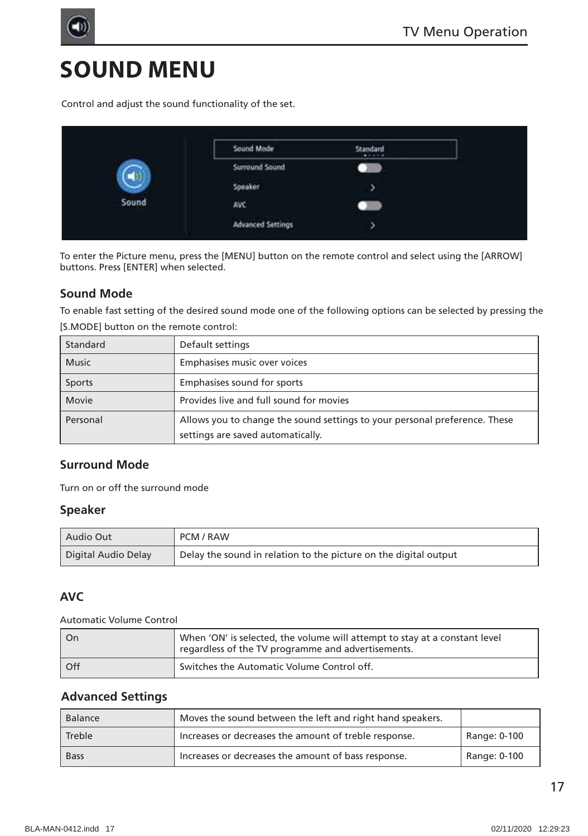

# **SOUND MENU**

Control and adjust the sound functionality of the set.

|                   | Sound Mode               | Standard<br> |  |
|-------------------|--------------------------|--------------|--|
|                   | <b>Surround Sound</b>    |              |  |
| $\left( 1\right)$ | Speaker                  | o            |  |
| Sound             | AVC                      |              |  |
|                   | <b>Advanced Settings</b> |              |  |

To enter the Picture menu, press the [MENU] button on the remote control and select using the [ARROW] buttons. Press [ENTER] when selected.

#### **Sound Mode**

To enable fast setting of the desired sound mode one of the following options can be selected by pressing the [S.MODE] button on the remote control:

| Standard     | Default settings                                                                                                |
|--------------|-----------------------------------------------------------------------------------------------------------------|
| <b>Music</b> | Emphasises music over voices                                                                                    |
| Sports       | Emphasises sound for sports                                                                                     |
| Movie        | Provides live and full sound for movies                                                                         |
| Personal     | Allows you to change the sound settings to your personal preference. These<br>settings are saved automatically. |

### **Surround Mode**

Turn on or off the surround mode

#### **Speaker**

| Audio Out           | PCM / RAW                                                        |
|---------------------|------------------------------------------------------------------|
| Digital Audio Delay | Delay the sound in relation to the picture on the digital output |

### **AVC**

Automatic Volume Control

| l On  | When 'ON' is selected, the volume will attempt to stay at a constant level<br>regardless of the TV programme and advertisements. |
|-------|----------------------------------------------------------------------------------------------------------------------------------|
| l Off | Switches the Automatic Volume Control off.                                                                                       |

### **Advanced Settings**

| Balance | Moves the sound between the left and right hand speakers. |              |
|---------|-----------------------------------------------------------|--------------|
| Treble  | Increases or decreases the amount of treble response.     | Range: 0-100 |
| Bass    | Increases or decreases the amount of bass response.       | Range: 0-100 |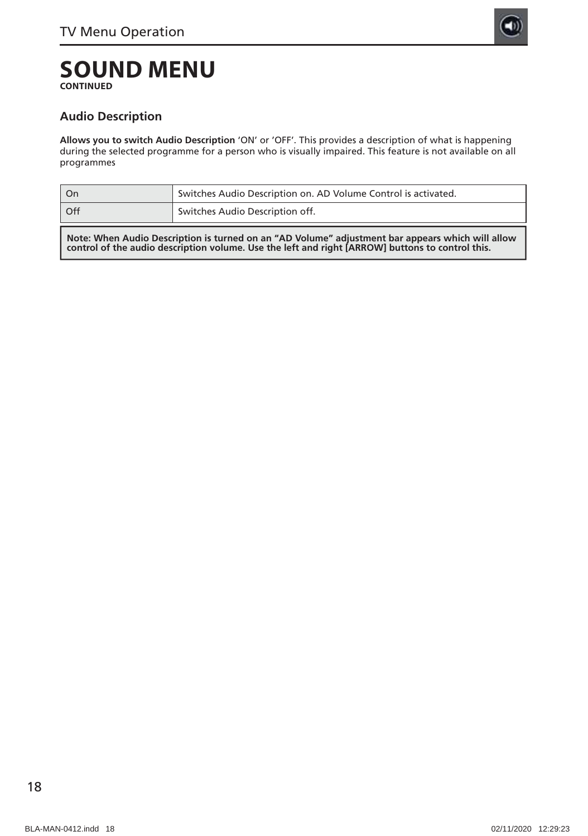

## **SOUND MENU CONTINUED**

### **Audio Description**

**Allows you to switch Audio Description** 'ON' or 'OFF'. This provides a description of what is happening during the selected programme for a person who is visually impaired. This feature is not available on all programmes

| l On                                                                                                         | Switches Audio Description on. AD Volume Control is activated. |
|--------------------------------------------------------------------------------------------------------------|----------------------------------------------------------------|
| l Off                                                                                                        | Switches Audio Description off.                                |
| $\mathsf I$ Note: When Audio Description is turned on an "AD Volume" adjustment har appears which will allow |                                                                |

**Note: When Audio Description is turned on an "AD Volume" adjustment bar appears which will allow control of the audio description volume. Use the left and right [ARROW] buttons to control this.**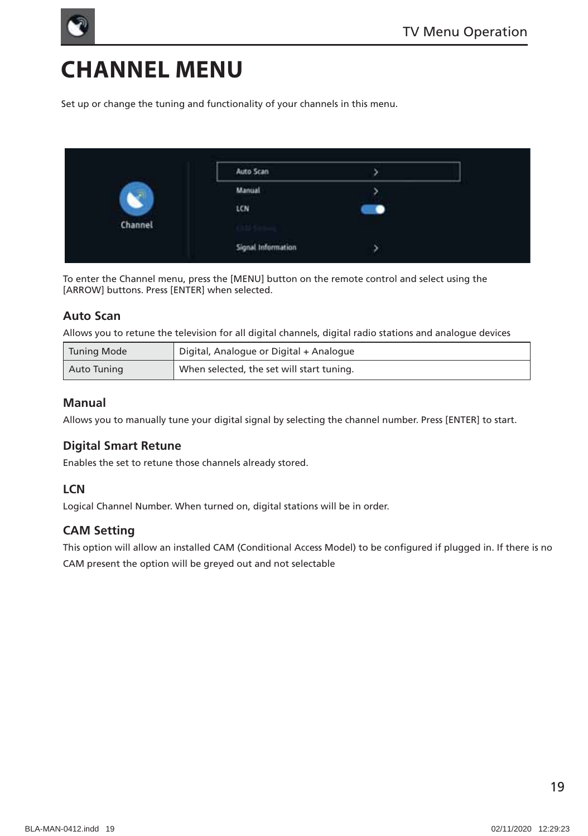

# **CHANNEL MENU**

Set up or change the tuning and functionality of your channels in this menu.



To enter the Channel menu, press the [MENU] button on the remote control and select using the [ARROW] buttons. Press [ENTER] when selected.

#### **Auto Scan**

Allows you to retune the television for all digital channels, digital radio stations and analogue devices

| <b>Tuning Mode</b> | Digital, Analogue or Digital + Analogue   |
|--------------------|-------------------------------------------|
| Auto Tuning        | When selected, the set will start tuning. |

#### **Manual**

Allows you to manually tune your digital signal by selecting the channel number. Press [ENTER] to start.

### **Digital Smart Retune**

Enables the set to retune those channels already stored.

### **LCN**

Logical Channel Number. When turned on, digital stations will be in order.

### **CAM Setting**

This option will allow an installed CAM (Conditional Access Model) to be configured if plugged in. If there is no CAM present the option will be greyed out and not selectable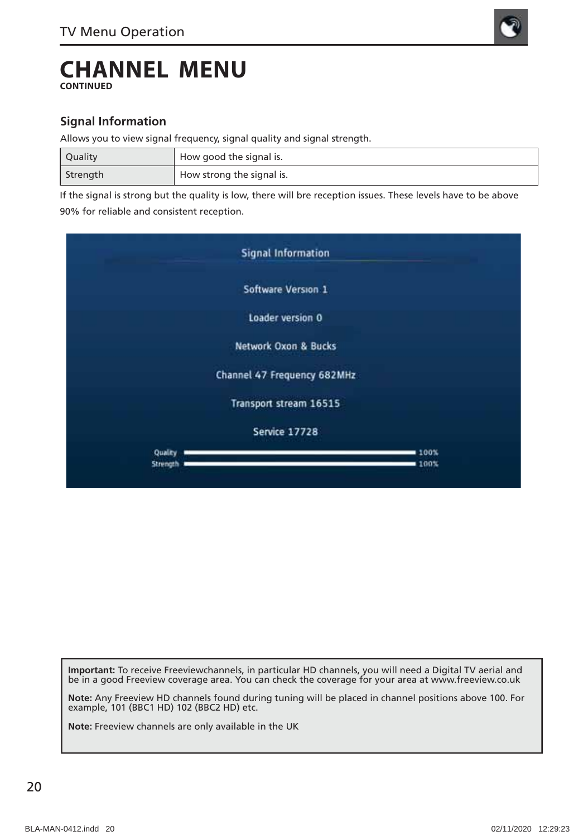

## **CHANNEL MENU CONTINUED**

### **Signal Information**

Allows you to view signal frequency, signal quality and signal strength.

| <b>Quality</b> | How good the signal is.   |
|----------------|---------------------------|
| Strength       | How strong the signal is. |

If the signal is strong but the quality is low, there will bre reception issues. These levels have to be above 90% for reliable and consistent reception.

| Signal Information          |                          |
|-----------------------------|--------------------------|
| Software Version 1          |                          |
| Loader version 0            |                          |
| Network Oxon & Bucks        |                          |
| Channel 47 Frequency 682MHz |                          |
| Transport stream 16515      |                          |
| Service 17728               |                          |
| Quality<br>Strength         | 100 <sub>h</sub><br>100% |

**Important:** To receive Freeviewchannels, in particular HD channels, you will need a Digital TV aerial and be in a good Freeview coverage area. You can check the coverage for your area at www.freeview.co.uk

**Note:** Any Freeview HD channels found during tuning will be placed in channel positions above 100. For example, 101 (BBC1 HD) 102 (BBC2 HD) etc.

**Note:** Freeview channels are only available in the UK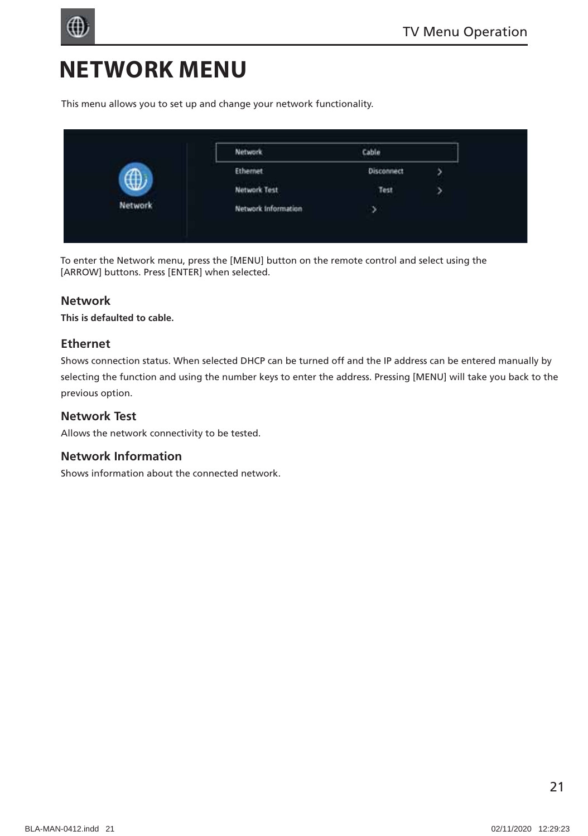

## **NETWORK MENU**

This menu allows you to set up and change your network functionality.

|                | <b>Network</b>      | Cable             |   |
|----------------|---------------------|-------------------|---|
| ⊕              | <b>Ethemet</b>      | <b>Disconnect</b> |   |
|                | Network Test        | Test              | 2 |
| <b>Network</b> | Network Information | ×                 |   |

To enter the Network menu, press the [MENU] button on the remote control and select using the [ARROW] buttons. Press [ENTER] when selected.

#### **Network**

**This is defaulted to cable.**

#### **Ethernet**

Shows connection status. When selected DHCP can be turned off and the IP address can be entered manually by selecting the function and using the number keys to enter the address. Pressing [MENU] will take you back to the previous option.

### **Network Test**

Allows the network connectivity to be tested.

### **Network Information**

Shows information about the connected network.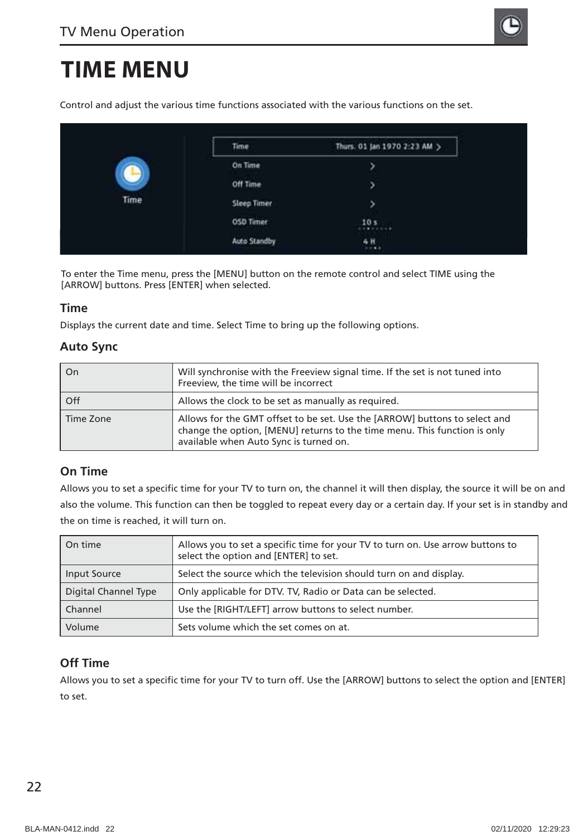

# **TIME MENU**

Control and adjust the various time functions associated with the various functions on the set.

|                       | Time                | Thurs. 01 Jan 1970 2:23 AM >                     |
|-----------------------|---------------------|--------------------------------------------------|
| $\boldsymbol{\Theta}$ | On Time             |                                                  |
|                       | Off Time            | э                                                |
| Time                  | Sleep Timer         | У                                                |
|                       | OSD Timer           | 103                                              |
|                       | <b>Auto Standby</b> | $\frac{4 \text{ H}}{1 \text{ H} \cdot \text{A}}$ |

To enter the Time menu, press the [MENU] button on the remote control and select TIME using the [ARROW] buttons. Press [ENTER] when selected.

#### **Time**

Displays the current date and time. Select Time to bring up the following options.

### **Auto Sync**

| On        | Will synchronise with the Freeview signal time. If the set is not tuned into<br>Freeview, the time will be incorrect                                                                              |
|-----------|---------------------------------------------------------------------------------------------------------------------------------------------------------------------------------------------------|
| Off       | Allows the clock to be set as manually as required.                                                                                                                                               |
| Time Zone | Allows for the GMT offset to be set. Use the [ARROW] buttons to select and<br>change the option, [MENU] returns to the time menu. This function is only<br>available when Auto Sync is turned on. |

### **On Time**

Allows you to set a specific time for your TV to turn on, the channel it will then display, the source it will be on and also the volume. This function can then be toggled to repeat every day or a certain day. If your set is in standby and the on time is reached, it will turn on.

| On time              | Allows you to set a specific time for your TV to turn on. Use arrow buttons to<br>select the option and [ENTER] to set. |
|----------------------|-------------------------------------------------------------------------------------------------------------------------|
| <b>Input Source</b>  | Select the source which the television should turn on and display.                                                      |
| Digital Channel Type | Only applicable for DTV. TV, Radio or Data can be selected.                                                             |
| Channel              | Use the [RIGHT/LEFT] arrow buttons to select number.                                                                    |
| Volume               | Sets volume which the set comes on at.                                                                                  |

### **Off Time**

Allows you to set a specific time for your TV to turn off. Use the [ARROW] buttons to select the option and [ENTER] to set.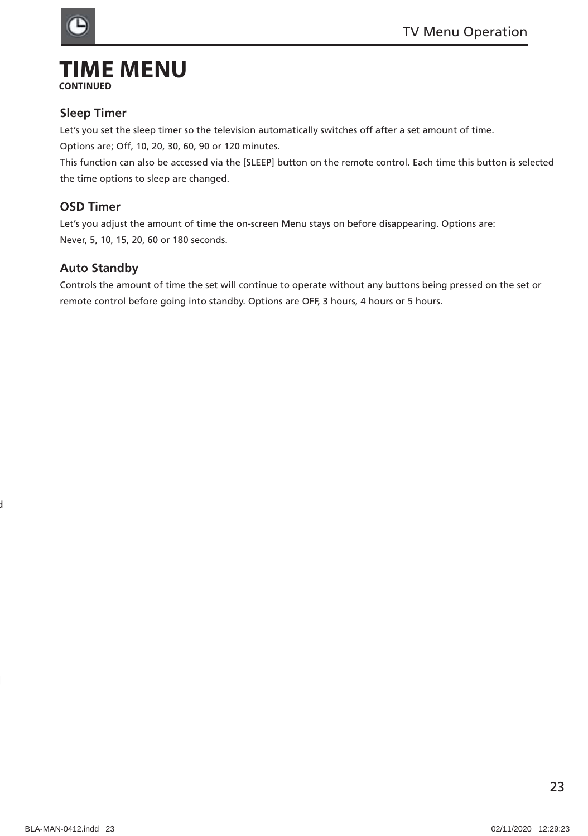

## **TIME MENU CONTINUED**

### **Sleep Timer**

Let's you set the sleep timer so the television automatically switches off after a set amount of time.

Options are; Off, 10, 20, 30, 60, 90 or 120 minutes.

This function can also be accessed via the [SLEEP] button on the remote control. Each time this button is selected the time options to sleep are changed.

### **OSD Timer**

Let's you adjust the amount of time the on-screen Menu stays on before disappearing. Options are: Never, 5, 10, 15, 20, 60 or 180 seconds.

### **Auto Standby**

Controls the amount of time the set will continue to operate without any buttons being pressed on the set or remote control before going into standby. Options are OFF, 3 hours, 4 hours or 5 hours.

d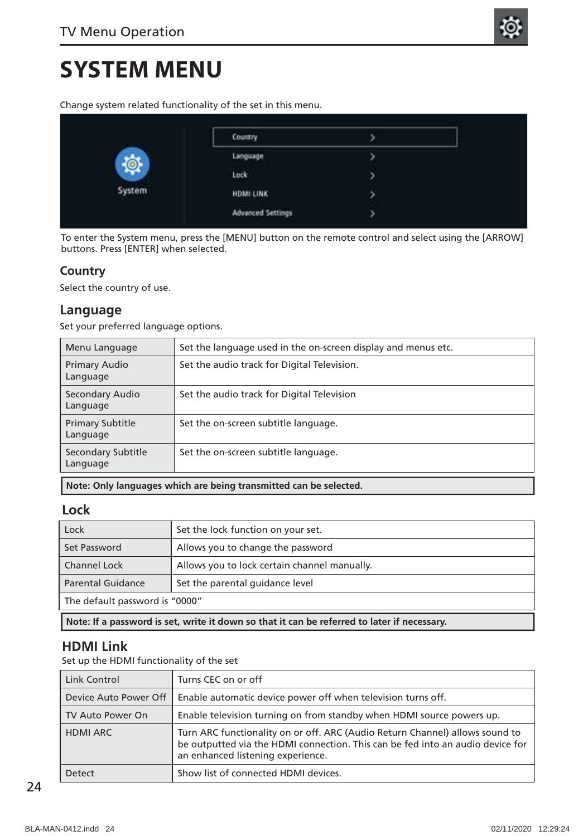

# **SYSTEM MENU**

Change system related functionality of the set in this menu.

|        | Country                  |  |
|--------|--------------------------|--|
| ¢      | Language                 |  |
|        | Lock                     |  |
| System | HDMI LINK                |  |
|        | <b>Advanced Settings</b> |  |

To enter the System menu, press the [MENU] button on the remote control and select using the [ARROW] buttons. Press [ENTER] when selected.

### **Country**

Select the country of use.

### **Language**

Set your preferred language options.

| Menu Language                       | Set the language used in the on-screen display and menus etc. |
|-------------------------------------|---------------------------------------------------------------|
| <b>Primary Audio</b><br>Language    | Set the audio track for Digital Television.                   |
| Secondary Audio<br>Language         | Set the audio track for Digital Television                    |
| <b>Primary Subtitle</b><br>Language | Set the on-screen subtitle language.                          |
| Secondary Subtitle<br>Language      | Set the on-screen subtitle language.                          |
|                                     |                                                               |

**Note: Only languages which are being transmitted can be selected.**

### **Lock**

| Lock                           | Set the lock function on your set.           |  |
|--------------------------------|----------------------------------------------|--|
| Set Password                   | Allows you to change the password            |  |
| Channel Lock                   | Allows you to lock certain channel manually. |  |
| Parental Guidance              | Set the parental quidance level              |  |
| The default password is "0000" |                                              |  |
|                                |                                              |  |

**Note: If a password is set, write it down so that it can be referred to later if necessary.**

## **HDMI Link**

Set up the HDMI functionality of the set

| Link Control          | Turns CEC on or off                                                                                                                                                                                 |
|-----------------------|-----------------------------------------------------------------------------------------------------------------------------------------------------------------------------------------------------|
| Device Auto Power Off | Enable automatic device power off when television turns off.                                                                                                                                        |
| TV Auto Power On      | Enable television turning on from standby when HDMI source powers up.                                                                                                                               |
| <b>HDMI ARC</b>       | Turn ARC functionality on or off. ARC (Audio Return Channel) allows sound to<br>be outputted via the HDMI connection. This can be fed into an audio device for<br>an enhanced listening experience. |
| Detect                | Show list of connected HDMI devices.                                                                                                                                                                |

24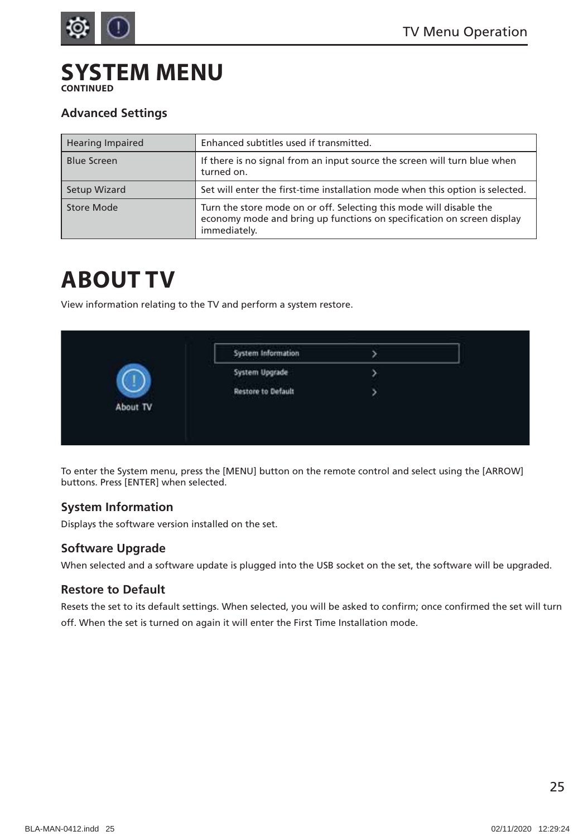

## **SYSTEM MENU CONTINUED**

### **Advanced Settings**

| <b>Hearing Impaired</b> | Enhanced subtitles used if transmitted.                                                                                                                       |
|-------------------------|---------------------------------------------------------------------------------------------------------------------------------------------------------------|
| <b>Blue Screen</b>      | If there is no signal from an input source the screen will turn blue when<br>turned on.                                                                       |
| Setup Wizard            | Set will enter the first-time installation mode when this option is selected.                                                                                 |
| Store Mode              | Turn the store mode on or off. Selecting this mode will disable the<br>economy mode and bring up functions on specification on screen display<br>immediately. |

# **ABOUT TV**

View information relating to the TV and perform a system restore.

|          | <b>System Information</b>                                          |   |
|----------|--------------------------------------------------------------------|---|
|          | System Upgrade                                                     |   |
|          | <b>Restore to Default</b><br><b><i>CONTRACTOR IN A STORIES</i></b> | × |
| About TV |                                                                    |   |
|          |                                                                    |   |

To enter the System menu, press the [MENU] button on the remote control and select using the [ARROW] buttons. Press [ENTER] when selected.

### **System Information**

Displays the software version installed on the set.

### **Software Upgrade**

When selected and a software update is plugged into the USB socket on the set, the software will be upgraded.

### **Restore to Default**

Resets the set to its default settings. When selected, you will be asked to confirm; once confirmed the set will turn off. When the set is turned on again it will enter the First Time Installation mode.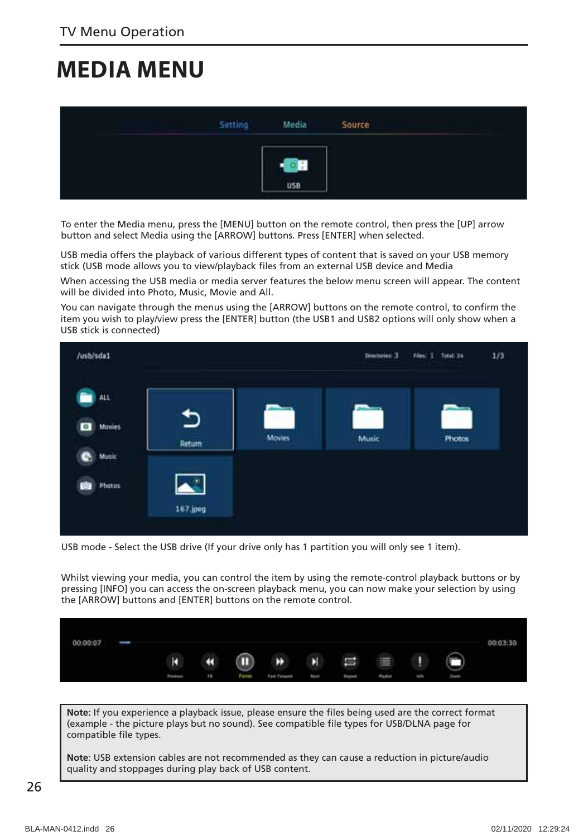# **MEDIA MENU**

| Setting Media |           | Source |  |
|---------------|-----------|--------|--|
|               | <b>OB</b> |        |  |
|               | USB       |        |  |

To enter the Media menu, press the [MENU] button on the remote control, then press the [UP] arrow button and select Media using the [ARROW] buttons. Press [ENTER] when selected.

USB media offers the playback of various different types of content that is saved on your USB memory stick (USB mode allows you to view/playback files from an external USB device and Media

When accessing the USB media or media server features the below menu screen will appear. The content will be divided into Photo, Music, Movie and All.

You can navigate through the menus using the [ARROW] buttons on the remote control, to confirm the item you wish to play/view press the [ENTER] button (the USB1 and USB2 options will only show when a USB stick is connected)



USB mode - Select the USB drive (If your drive only has 1 partition you will only see 1 item).

Whilst viewing your media, you can control the item by using the remote-control playback buttons or by pressing [INFO] you can access the on-screen playback menu, you can now make your selection by using the [ARROW] buttons and [ENTER] buttons on the remote control.



**Note:** If you experience a playback issue, please ensure the files being used are the correct format (example - the picture plays but no sound). See compatible file types for USB/DLNA page for compatible file types.

**Note**: USB extension cables are not recommended as they can cause a reduction in picture/audio quality and stoppages during play back of USB content.

26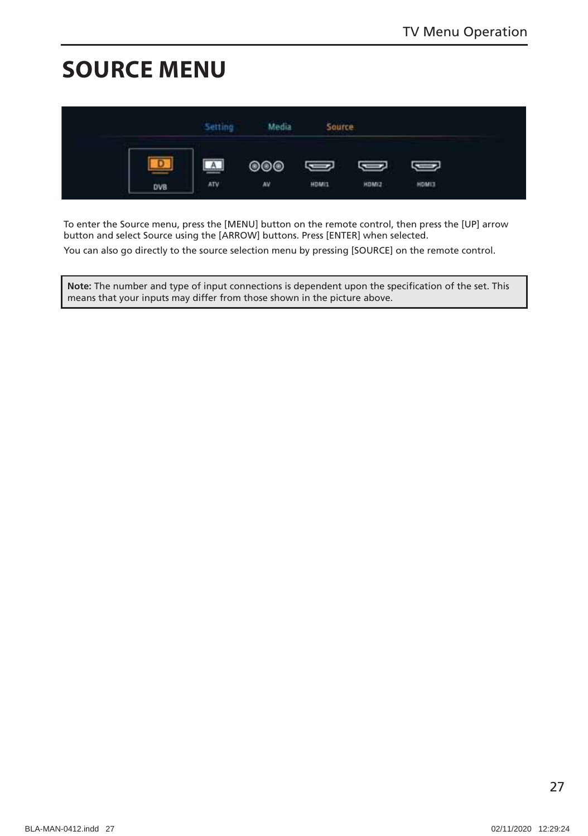## **SOURCE MENU**

|           | Setting | Media          | <b>Source</b>                |               |              |
|-----------|---------|----------------|------------------------------|---------------|--------------|
| <b>ID</b> | A       | $\circledcirc$ | $\qquad \qquad \blacksquare$ | $\Rightarrow$ | $\equiv$     |
| DVB       | ATV     | $_{\text{AV}}$ | HDMI1                        | HDMI2         | <b>HDMI3</b> |

To enter the Source menu, press the [MENU] button on the remote control, then press the [UP] arrow button and select Source using the [ARROW] buttons. Press [ENTER] when selected.

You can also go directly to the source selection menu by pressing [SOURCE] on the remote control.

Note: The number and type of input connections is dependent upon the specification of the set. This means that your inputs may differ from those shown in the picture above.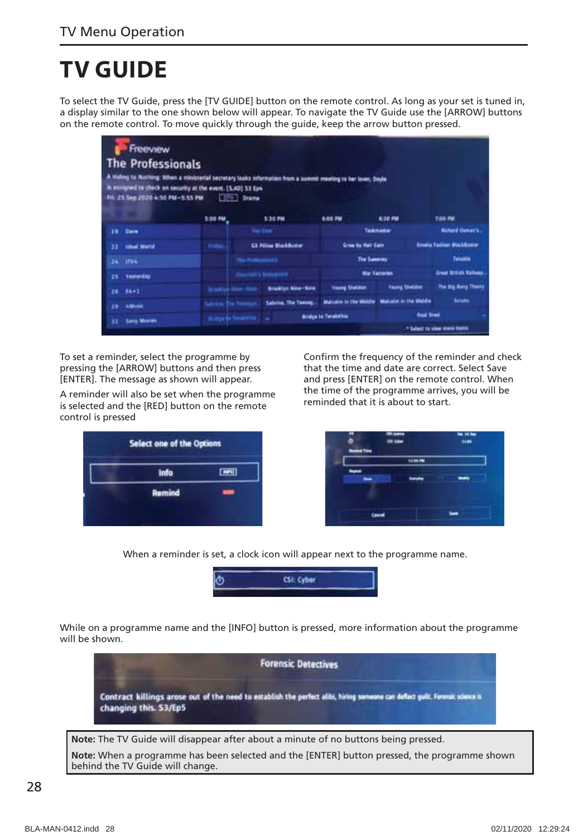# **TV GUIDE**

To select the TV Guide, press the [TV GUIDE] button on the remote control. As long as your set is tuned in, a display similar to the one shown below will appear. To navigate the TV Guide use the [ARROW] buttons on the remote control. To move quickly through the guide, keep the arrow button pressed.

| Freeview<br><b>The Professionals</b><br>A Hidling to Nuthing: When a ministerial secretary leaks information from a summit meeting to her lover, Doyle<br>is assigned to sheck on security at the event. [\$.40] \$3 Ep4<br>Fri. 25 Sep 2020 4:50 PM-5:55 PM | <b>DIV Drame</b>                 |                                         |                           |                                                                   |                      |                                  |
|--------------------------------------------------------------------------------------------------------------------------------------------------------------------------------------------------------------------------------------------------------------|----------------------------------|-----------------------------------------|---------------------------|-------------------------------------------------------------------|----------------------|----------------------------------|
|                                                                                                                                                                                                                                                              | 5:00 PM                          | 5.30 PM                                 |                           | 8:05 PM                                                           | 6:30 PM              | 701 PM                           |
| 19 Dave                                                                                                                                                                                                                                                      |                                  | <b>Tex Car</b>                          |                           |                                                                   | Taskmaster           | <b>Bullerd Delatt's</b>          |
| 22 Ideal World                                                                                                                                                                                                                                               | <b>Bidder</b>                    | <b>CX Nine Biockhoose</b>               |                           | Grow by Nair Sale                                                 |                      | <b>Emela Fashier BlackBusher</b> |
| <b>JA ITVA</b>                                                                                                                                                                                                                                               |                                  | The Frederick of                        |                           | The Summons                                                       |                      | Template                         |
| 25 Venerday                                                                                                                                                                                                                                                  |                                  | <b>Countries</b> is designated.         |                           |                                                                   | War Factories        | <b>Great British Railway</b>     |
| $184 + 1$<br>38.                                                                                                                                                                                                                                             | <b>Scottling Hour Street - C</b> |                                         | <b>Brasilyn Nine-Nine</b> | <b>Fourie Sheldon</b>                                             | <b>Tiony Shelder</b> | The Big Bang Therry              |
| AMeric                                                                                                                                                                                                                                                       | <b>Candra StarFormand</b>        |                                         |                           | Saferina, The Teenag  Matusin in the Middle Makusiat in the Mcday |                      | <b>Scholar</b>                   |
| 29                                                                                                                                                                                                                                                           |                                  | <b>Michael &amp; Torold Hill L. Las</b> |                           | <b>Bridge to Terabilitie</b>                                      | <b>Road Street</b>   |                                  |
| <b>Sary Morrer</b><br>32                                                                                                                                                                                                                                     |                                  |                                         |                           |                                                                   |                      | * Select to view more items      |

To set a reminder, select the programme by pressing the [ARROW] buttons and then press [ENTER]. The message as shown will appear.

A reminder will also be set when the programme is selected and the [RED] button on the remote control is pressed



Confirm the frequency of the reminder and check that the time and date are correct. Select Save and press [ENTER] on the remote control. When the time of the programme arrives, you will be reminded that it is about to start.

| ۰<br><b>America</b> | an pana<br>Geograp | ha bi ba<br>Tasar |
|---------------------|--------------------|-------------------|
|                     | $i$ imm            |                   |
| -                   | -                  |                   |
|                     |                    |                   |
|                     |                    |                   |
|                     |                    | ۰                 |

When a reminder is set, a clock icon will appear next to the programme name.



While on a programme name and the [INFO] button is pressed, more information about the programme will be shown.



**Note:** When a programme has been selected and the [ENTER] button pressed, the programme shown behind the TV Guide will change.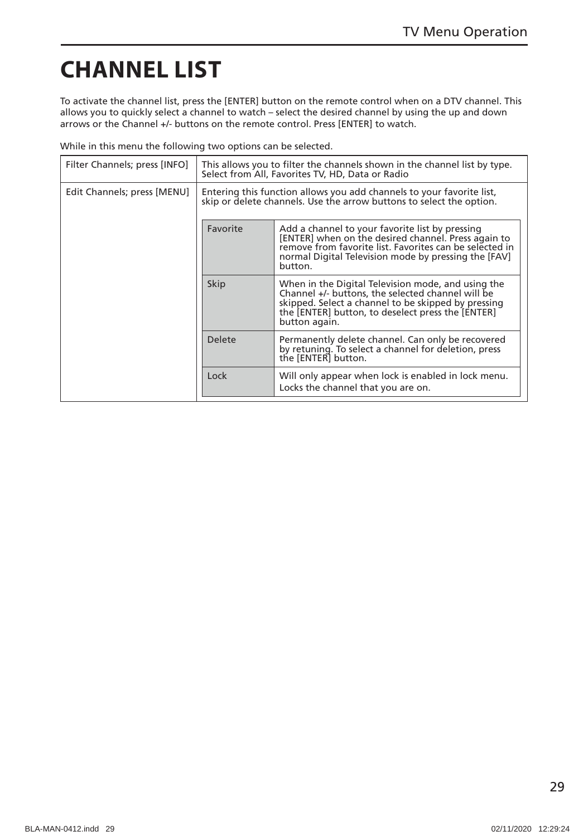# **CHANNEL LIST**

To activate the channel list, press the [ENTER] button on the remote control when on a DTV channel. This allows you to quickly select a channel to watch – select the desired channel by using the up and down arrows or the Channel +/- buttons on the remote control. Press [ENTER] to watch.

While in this menu the following two options can be selected.

| Filter Channels; press [INFO] | This allows you to filter the channels shown in the channel list by type.<br>Select from All, Favorites TV, HD, Data or Radio                 |                                                                                                                                                                                                                                      |  |  |
|-------------------------------|-----------------------------------------------------------------------------------------------------------------------------------------------|--------------------------------------------------------------------------------------------------------------------------------------------------------------------------------------------------------------------------------------|--|--|
| Edit Channels; press [MENU]   | Entering this function allows you add channels to your favorite list,<br>skip or delete channels. Use the arrow buttons to select the option. |                                                                                                                                                                                                                                      |  |  |
|                               | Favorite                                                                                                                                      | Add a channel to your favorite list by pressing<br>[ENTER] when on the desired channel. Press again to<br>remove from favorite list. Favorites can be selected in<br>normal Digital Television mode by pressing the [FAV]<br>button. |  |  |
|                               | Skip                                                                                                                                          | When in the Digital Television mode, and using the<br>Channel +/- buttons, the selected channel will be<br>skipped. Select a channel to be skipped by pressing<br>the [ENTER] button, to deselect press the [ENTER]<br>button again. |  |  |
|                               | <b>Delete</b>                                                                                                                                 | Permanently delete channel. Can only be recovered<br>by retuning. To select a channel for deletion, press<br>the [ENTER] button.                                                                                                     |  |  |
|                               | Lock                                                                                                                                          | Will only appear when lock is enabled in lock menu.<br>Locks the channel that you are on.                                                                                                                                            |  |  |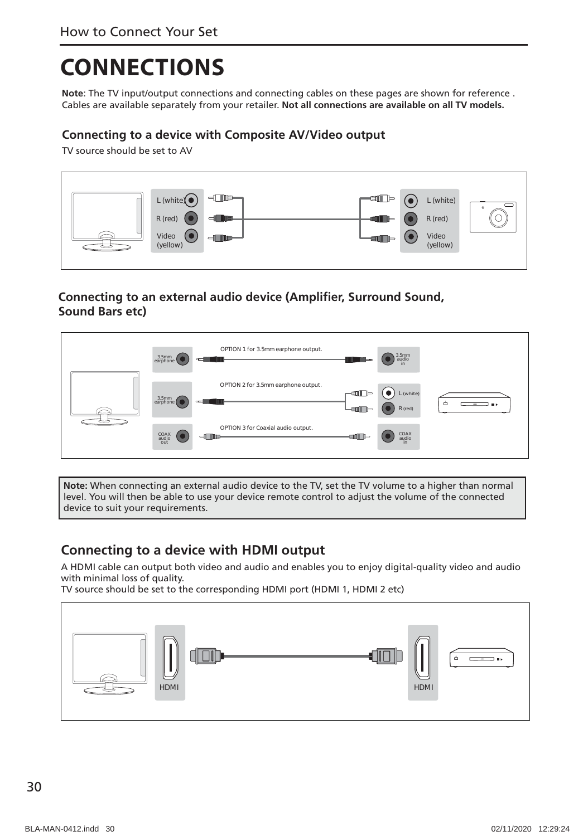# **CONNECTIONS**

**Note**: The TV input/output connections and connecting cables on these pages are shown for reference . Cables are available separately from your retailer. **Not all connections are available on all TV models.**

### **Connecting to a device with Composite AV/Video output**

TV source should be set to AV



### **Connecting to an external audio device (Amplifier, Surround Sound, Sound Bars etc)**



**Note:** When connecting an external audio device to the TV, set the TV volume to a higher than normal level. You will then be able to use your device remote control to adjust the volume of the connected device to suit your requirements.

## **Connecting to a device with HDMI output**

A HDMI cable can output both video and audio and enables you to enjoy digital-quality video and audio with minimal loss of quality.

TV source should be set to the corresponding HDMI port (HDMI 1, HDMI 2 etc)

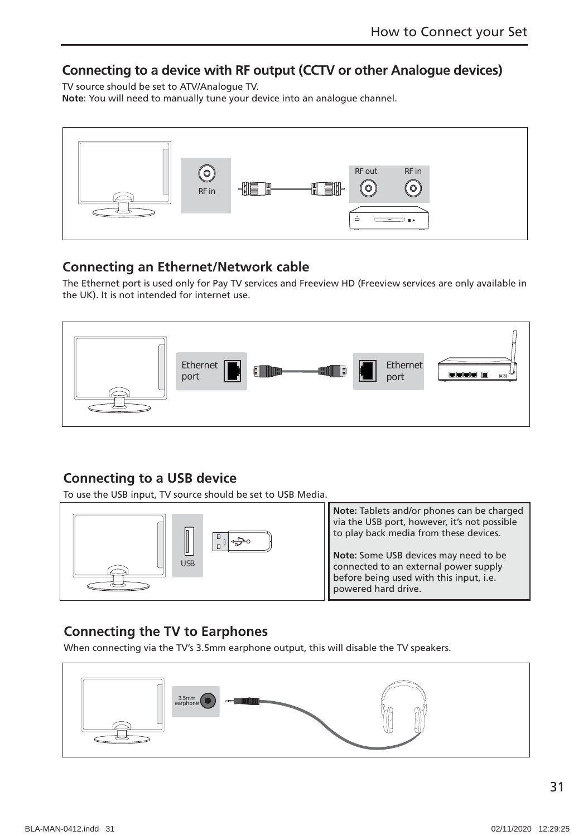### **Connecting to a device with RF output (CCTV or other Analogue devices)**

TV source should be set to ATV/Analogue TV.

**Note**: You will need to manually tune your device into an analogue channel.



### **Connecting an Ethernet/Network cable**

The Ethernet port is used only for Pay TV services and Freeview HD (Freeview services are only available in the UK). It is not intended for internet use.



## **Connecting to a USB device**

To use the USB input, TV source should be set to USB Media.



**Note:** Tablets and/or phones can be charged via the USB port, however, it's not possible to play back media from these devices.

**Note:** Some USB devices may need to be connected to an external power supply before being used with this input, i.e. powered hard drive.

## **Connecting the TV to Earphones**

When connecting via the TV's 3.5mm earphone output, this will disable the TV speakers.

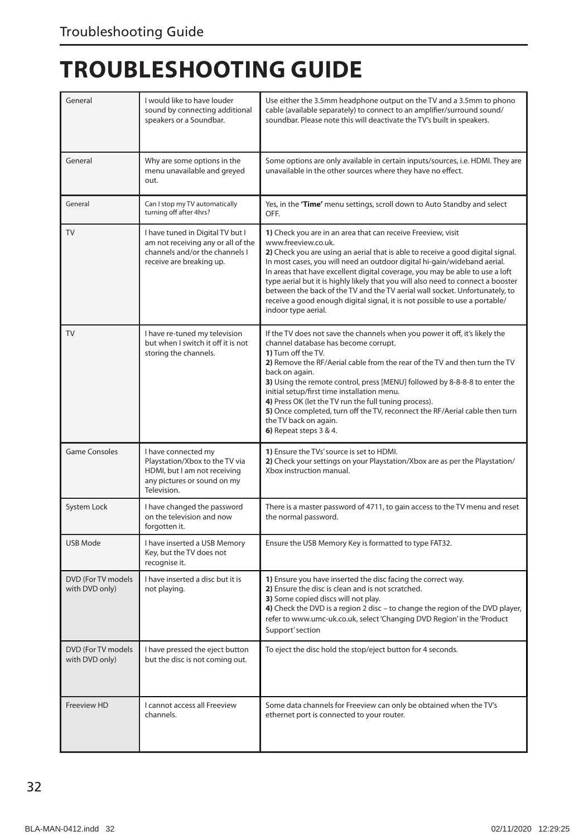# **TROUBLESHOOTING GUIDE**

| General                              | I would like to have louder<br>sound by connecting additional<br>speakers or a Soundbar.                                             | Use either the 3.5mm headphone output on the TV and a 3.5mm to phono<br>cable (available separately) to connect to an amplifier/surround sound/<br>soundbar. Please note this will deactivate the TV's built in speakers.                                                                                                                                                                                                                                                                                                                                                                                   |
|--------------------------------------|--------------------------------------------------------------------------------------------------------------------------------------|-------------------------------------------------------------------------------------------------------------------------------------------------------------------------------------------------------------------------------------------------------------------------------------------------------------------------------------------------------------------------------------------------------------------------------------------------------------------------------------------------------------------------------------------------------------------------------------------------------------|
| General                              | Why are some options in the<br>menu unavailable and greyed<br>out.                                                                   | Some options are only available in certain inputs/sources, i.e. HDMI. They are<br>unavailable in the other sources where they have no effect.                                                                                                                                                                                                                                                                                                                                                                                                                                                               |
| General                              | Can I stop my TV automatically<br>turning off after 4hrs?                                                                            | Yes, in the 'Time' menu settings, scroll down to Auto Standby and select<br>OFF.                                                                                                                                                                                                                                                                                                                                                                                                                                                                                                                            |
| <b>TV</b>                            | I have tuned in Digital TV but I<br>am not receiving any or all of the<br>channels and/or the channels I<br>receive are breaking up. | 1) Check you are in an area that can receive Freeview, visit<br>www.freeview.co.uk.<br>2) Check you are using an aerial that is able to receive a good digital signal.<br>In most cases, you will need an outdoor digital hi-gain/wideband aerial.<br>In areas that have excellent digital coverage, you may be able to use a loft<br>type aerial but it is highly likely that you will also need to connect a booster<br>between the back of the TV and the TV aerial wall socket. Unfortunately, to<br>receive a good enough digital signal, it is not possible to use a portable/<br>indoor type aerial. |
| TV                                   | I have re-tuned my television<br>but when I switch it off it is not<br>storing the channels.                                         | If the TV does not save the channels when you power it off, it's likely the<br>channel database has become corrupt.<br>1) Turn off the TV.<br>2) Remove the RF/Aerial cable from the rear of the TV and then turn the TV<br>back on again.<br>3) Using the remote control, press [MENU] followed by 8-8-8-8 to enter the<br>initial setup/first time installation menu.<br>4) Press OK (let the TV run the full tuning process).<br>5) Once completed, turn off the TV, reconnect the RF/Aerial cable then turn<br>the TV back on again.<br>6) Repeat steps 3 & 4.                                          |
| <b>Game Consoles</b>                 | I have connected my<br>Playstation/Xbox to the TV via<br>HDMI, but I am not receiving<br>any pictures or sound on my<br>Television.  | 1) Ensure the TVs' source is set to HDMI.<br>2) Check your settings on your Playstation/Xbox are as per the Playstation/<br>Xbox instruction manual.                                                                                                                                                                                                                                                                                                                                                                                                                                                        |
| System Lock                          | I have changed the password<br>on the television and now<br>forgotten it.                                                            | There is a master password of 4711, to gain access to the TV menu and reset<br>the normal password.                                                                                                                                                                                                                                                                                                                                                                                                                                                                                                         |
| <b>USB Mode</b>                      | I have inserted a USB Memory<br>Key, but the TV does not<br>recognise it.                                                            | Ensure the USB Memory Key is formatted to type FAT32.                                                                                                                                                                                                                                                                                                                                                                                                                                                                                                                                                       |
| DVD (For TV models<br>with DVD only) | I have inserted a disc but it is<br>not playing.                                                                                     | 1) Ensure you have inserted the disc facing the correct way.<br>2) Ensure the disc is clean and is not scratched.<br>3) Some copied discs will not play.<br>4) Check the DVD is a region 2 disc - to change the region of the DVD player,<br>refer to www.umc-uk.co.uk, select 'Changing DVD Region' in the 'Product<br>Support' section                                                                                                                                                                                                                                                                    |
| DVD (For TV models<br>with DVD only) | I have pressed the eject button<br>but the disc is not coming out.                                                                   | To eject the disc hold the stop/eject button for 4 seconds.                                                                                                                                                                                                                                                                                                                                                                                                                                                                                                                                                 |
| Freeview HD                          | I cannot access all Freeview<br>channels.                                                                                            | Some data channels for Freeview can only be obtained when the TV's<br>ethernet port is connected to your router.                                                                                                                                                                                                                                                                                                                                                                                                                                                                                            |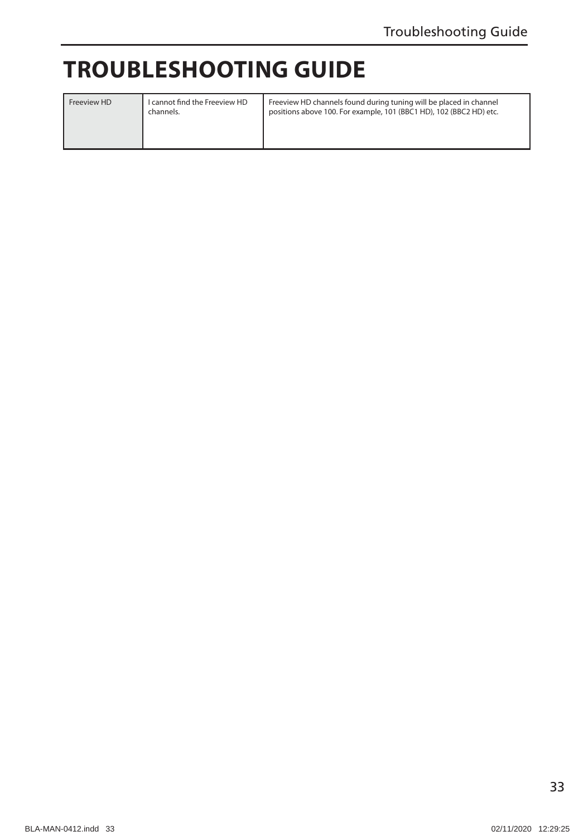## **TROUBLESHOOTING GUIDE**

| <b>Freeview HD</b> |  |
|--------------------|--|
|                    |  |

I cannot find the Freeview HD channels.

Freeview HD channels found during tuning will be placed in channel positions above 100. For example, 101 (BBC1 HD), 102 (BBC2 HD) etc.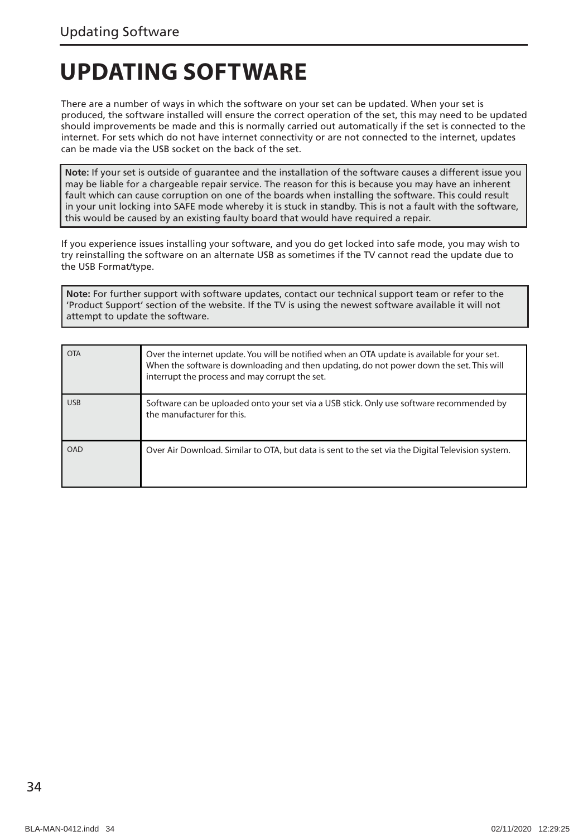# **UPDATING SOFTWARE**

There are a number of ways in which the software on your set can be updated. When your set is produced, the software installed will ensure the correct operation of the set, this may need to be updated should improvements be made and this is normally carried out automatically if the set is connected to the internet. For sets which do not have internet connectivity or are not connected to the internet, updates can be made via the USB socket on the back of the set.

**Note:** If your set is outside of guarantee and the installation of the software causes a different issue you may be liable for a chargeable repair service. The reason for this is because you may have an inherent fault which can cause corruption on one of the boards when installing the software. This could result in your unit locking into SAFE mode whereby it is stuck in standby. This is not a fault with the software, this would be caused by an existing faulty board that would have required a repair.

If you experience issues installing your software, and you do get locked into safe mode, you may wish to try reinstalling the software on an alternate USB as sometimes if the TV cannot read the update due to the USB Format/type.

**Note:** For further support with software updates, contact our technical support team or refer to the 'Product Support' section of the website. If the TV is using the newest software available it will not attempt to update the software.

| <b>OTA</b> | Over the internet update. You will be notified when an OTA update is available for your set.<br>When the software is downloading and then updating, do not power down the set. This will<br>interrupt the process and may corrupt the set. |
|------------|--------------------------------------------------------------------------------------------------------------------------------------------------------------------------------------------------------------------------------------------|
| <b>USB</b> | Software can be uploaded onto your set via a USB stick. Only use software recommended by<br>the manufacturer for this.                                                                                                                     |
| OAD        | Over Air Download. Similar to OTA, but data is sent to the set via the Digital Television system.                                                                                                                                          |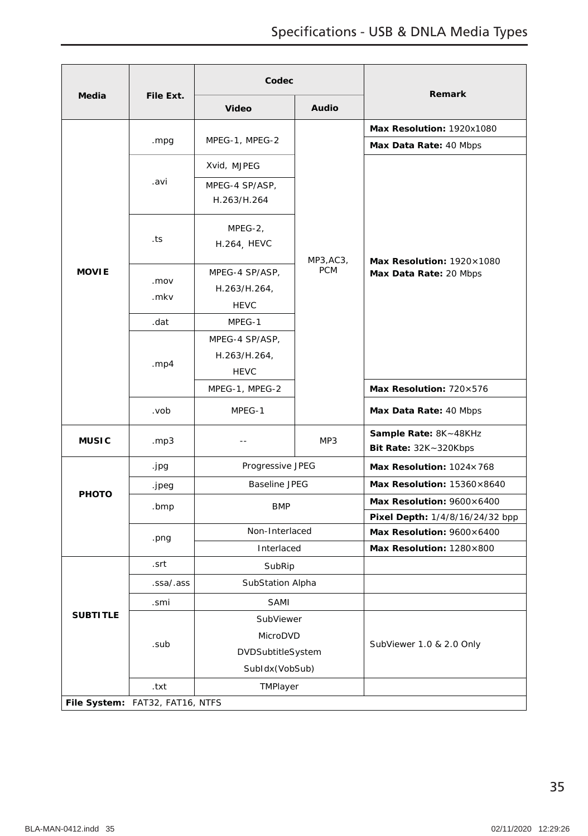| Media           | File Ext.                       | Codec                                         |                         |                                                              |
|-----------------|---------------------------------|-----------------------------------------------|-------------------------|--------------------------------------------------------------|
|                 |                                 | Video                                         | Audio                   | Remark                                                       |
|                 |                                 |                                               |                         | Max Resolution: 1920x1080                                    |
|                 | .mpg                            | MPEG-1, MPEG-2                                | MP3, AC3,<br><b>PCM</b> | Max Data Rate: 40 Mbps                                       |
| <b>MOVIE</b>    | .avi                            | Xvid, MJPEG                                   |                         | Max Resolution: 1920×1080<br>Max Data Rate: 20 Mbps          |
|                 |                                 | MPEG-4 SP/ASP,<br>H.263/H.264                 |                         |                                                              |
|                 | .ts                             | $MPEG-2,$<br>H.264, HEVC                      |                         |                                                              |
|                 | .mov<br>.mkv                    | MPEG-4 SP/ASP,<br>H.263/H.264,<br><b>HEVC</b> |                         |                                                              |
|                 | .dat                            | MPEG-1                                        |                         |                                                              |
|                 | mp4                             | MPEG-4 SP/ASP,<br>H.263/H.264,<br><b>HEVC</b> |                         |                                                              |
|                 |                                 | MPEG-1, MPEG-2                                |                         | Max Resolution: 720×576                                      |
|                 | .vob                            | MPEG-1                                        |                         | Max Data Rate: 40 Mbps                                       |
| <b>MUSIC</b>    | .mp3                            | $-1$                                          | MP3                     | Sample Rate: 8K~48KHz<br>Bit Rate: 32K~320Kbps               |
| <b>PHOTO</b>    | .jpg                            | Progressive JPEG                              |                         | Max Resolution: 1024x 768                                    |
|                 | .jpeg                           | <b>Baseline JPEG</b>                          |                         | Max Resolution: $15360\times8640$                            |
|                 | .bmp                            | <b>BMP</b>                                    |                         | Max Resolution: 9600×6400                                    |
|                 |                                 | Non-Interlaced                                |                         | Pixel Depth: 1/4/8/16/24/32 bpp<br>Max Resolution: 9600×6400 |
|                 | .png                            | Interlaced                                    |                         | Max Resolution: 1280×800                                     |
| <b>SUBTITLE</b> | .srt                            | SubRip                                        |                         |                                                              |
|                 | .ssa/.ass                       | SubStation Alpha                              |                         |                                                              |
|                 | .smi                            | SAMI                                          |                         |                                                              |
|                 | .sub                            | SubViewer                                     |                         | SubViewer 1.0 & 2.0 Only                                     |
|                 |                                 | MicroDVD                                      |                         |                                                              |
|                 |                                 | DVDSubtitleSystem                             |                         |                                                              |
|                 |                                 | SubIdx(VobSub)                                |                         |                                                              |
|                 | .txt                            | TMPlayer                                      |                         |                                                              |
|                 | File System: FAT32, FAT16, NTFS |                                               |                         |                                                              |

35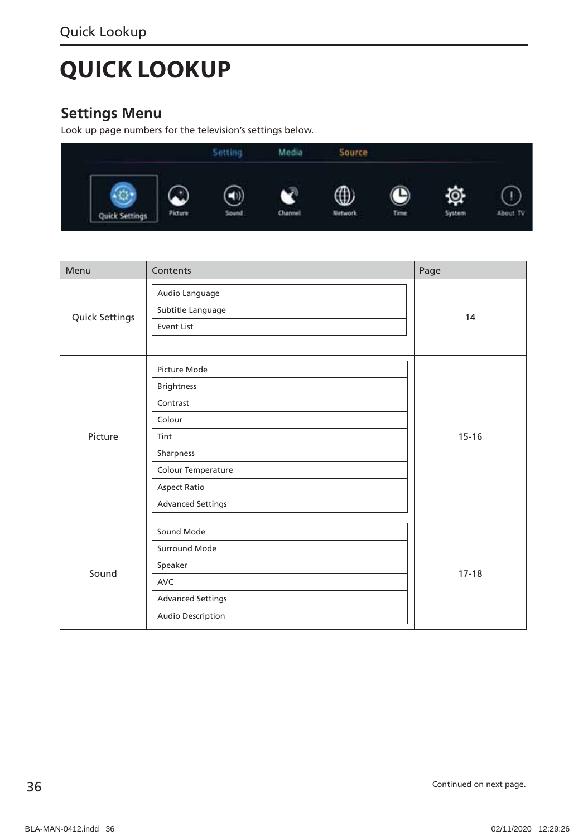# **QUICK LOOKUP**

## **Settings Menu**

Look up page numbers for the television's settings below.



| Menu           | Contents                                                                                                                                       | Page      |
|----------------|------------------------------------------------------------------------------------------------------------------------------------------------|-----------|
| Quick Settings | Audio Language<br>Subtitle Language<br>Event List                                                                                              | 14        |
| Picture        | Picture Mode<br><b>Brightness</b><br>Contrast<br>Colour<br>Tint<br>Sharpness<br>Colour Temperature<br>Aspect Ratio<br><b>Advanced Settings</b> | $15 - 16$ |
| Sound          | Sound Mode<br><b>Surround Mode</b><br>Speaker<br>AVC<br><b>Advanced Settings</b><br>Audio Description                                          | $17-18$   |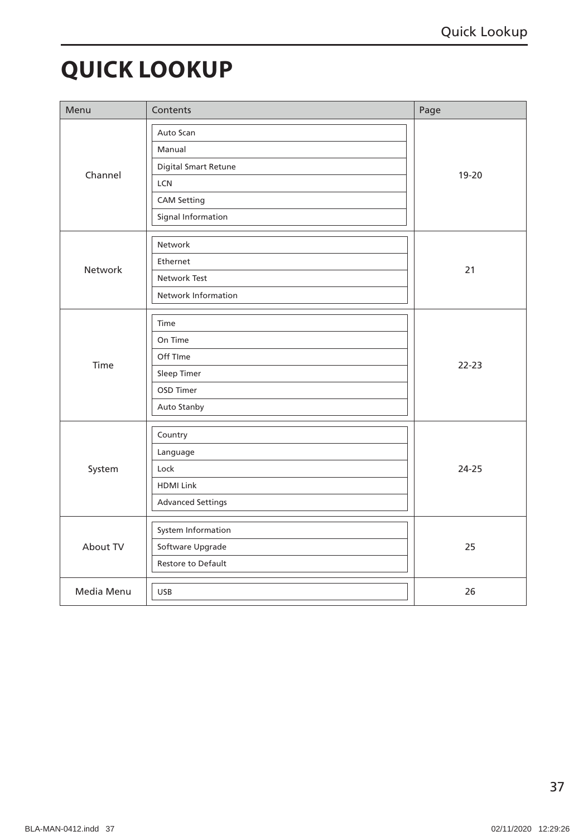# **QUICK LOOKUP**

| Menu       | Contents                                                                                       | Page      |
|------------|------------------------------------------------------------------------------------------------|-----------|
| Channel    | Auto Scan<br>Manual<br>Digital Smart Retune<br>LCN<br><b>CAM Setting</b><br>Signal Information | $19 - 20$ |
| Network    | Network<br>Ethernet<br>Network Test<br>Network Information                                     | 21        |
| Time       | Time<br>On Time<br>Off TIme<br>Sleep Timer<br>OSD Timer<br>Auto Stanby                         | $22 - 23$ |
| System     | Country<br>Language<br>Lock<br><b>HDMI Link</b><br><b>Advanced Settings</b>                    | $24 - 25$ |
| About TV   | System Information<br>Software Upgrade<br>Restore to Default                                   | 25        |
| Media Menu | <b>USB</b>                                                                                     | 26        |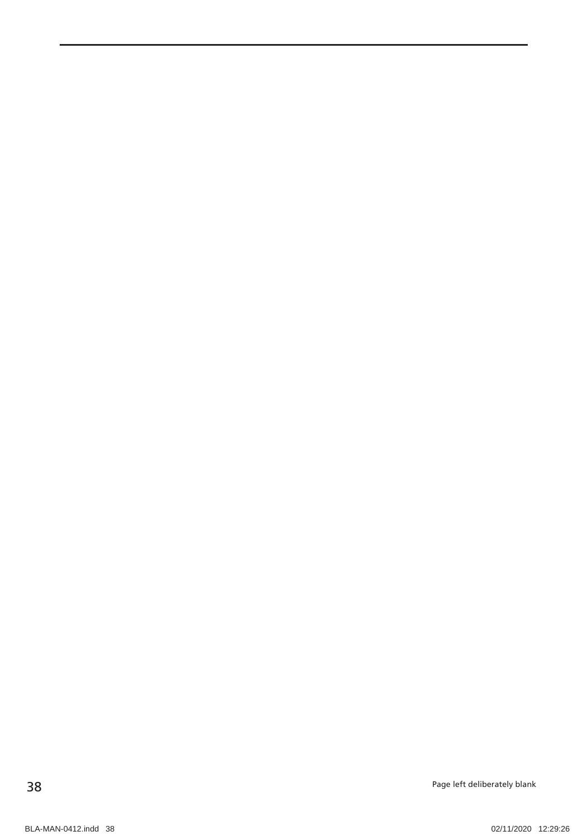**38** Page left deliberately blank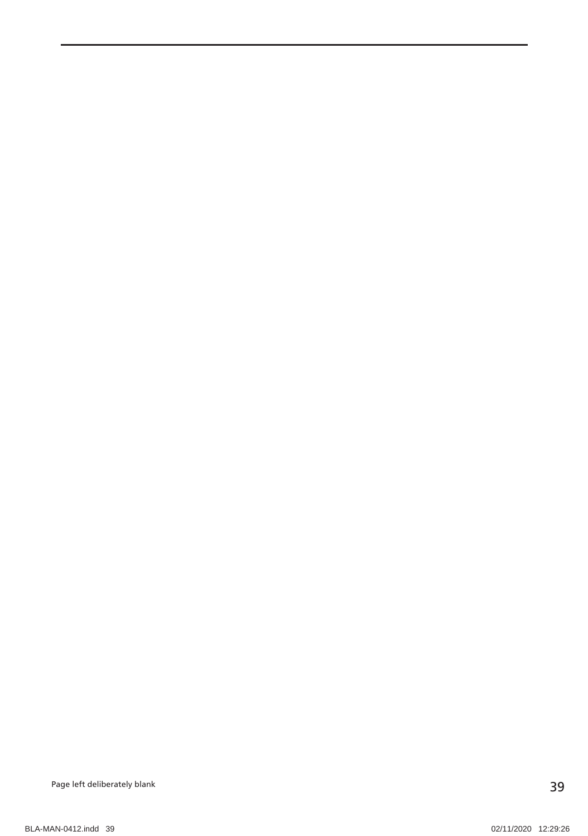Page left deliberately blank 39